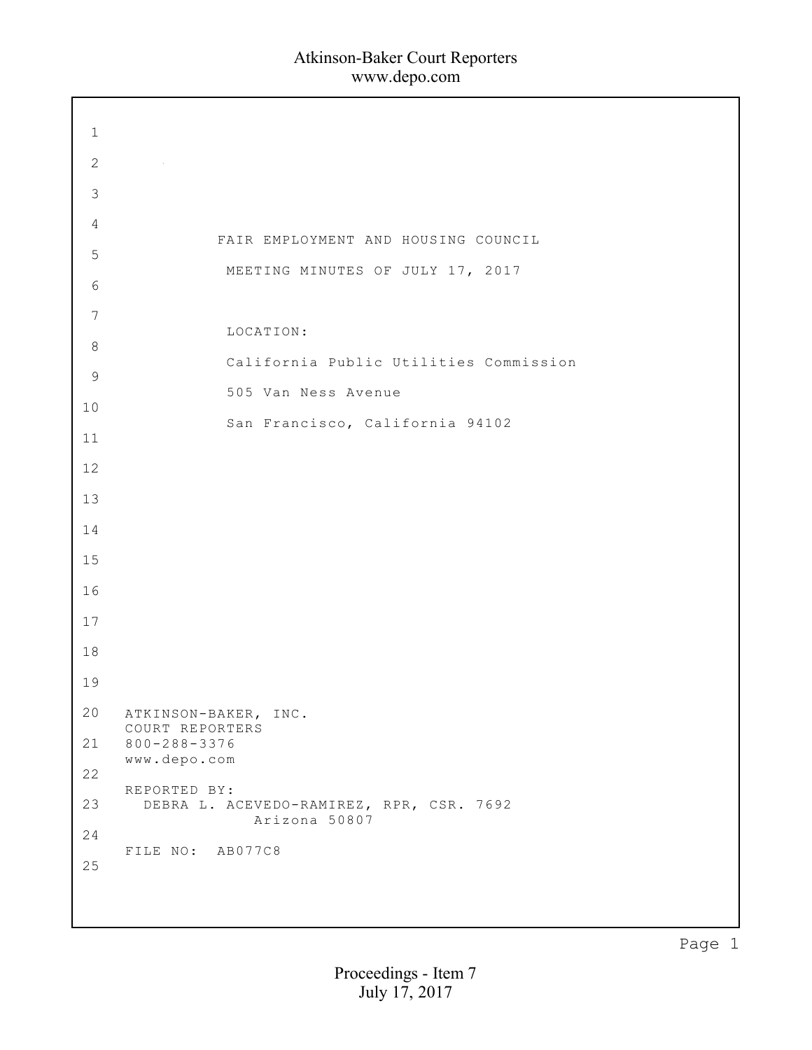| $1\,$          |                                                           |
|----------------|-----------------------------------------------------------|
| $\mathbf{2}$   |                                                           |
| $\mathsf 3$    |                                                           |
| $\overline{4}$ |                                                           |
| 5              | FAIR EMPLOYMENT AND HOUSING COUNCIL                       |
| $\sqrt{6}$     | MEETING MINUTES OF JULY 17, 2017                          |
| $\overline{7}$ |                                                           |
| $\,8\,$        | LOCATION:                                                 |
| $\mathsf 9$    | California Public Utilities Commission                    |
| 10             | 505 Van Ness Avenue                                       |
| 11             | San Francisco, California 94102                           |
| 12             |                                                           |
| 13             |                                                           |
| 14             |                                                           |
| 15             |                                                           |
|                |                                                           |
| 16             |                                                           |
| 17             |                                                           |
| 18             |                                                           |
| 19             |                                                           |
| 20             | ATKINSON-BAKER, INC.<br>COURT REPORTERS                   |
| 21             | $800 - 288 - 3376$<br>www.depo.com                        |
| 22             | REPORTED BY:                                              |
| 23             | DEBRA L. ACEVEDO-RAMIREZ, RPR, CSR. 7692<br>Arizona 50807 |
| 24             | FILE NO: AB077C8                                          |
| 25             |                                                           |
|                |                                                           |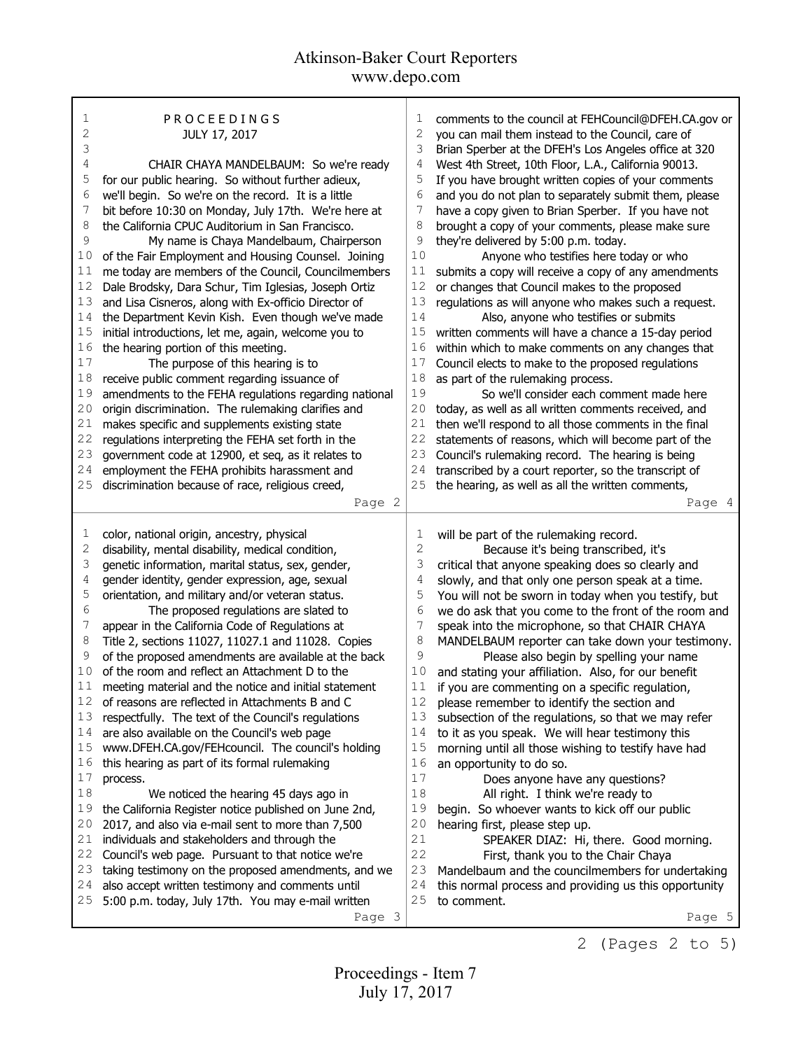| 1<br>$\overline{c}$ | PROCEEDINGS                                                  | 1              | comments to the council at FEHCouncil@DFEH.CA.gov or  |
|---------------------|--------------------------------------------------------------|----------------|-------------------------------------------------------|
|                     | JULY 17, 2017                                                | $\mathbf{2}$   | you can mail them instead to the Council, care of     |
| 3                   |                                                              | 3              | Brian Sperber at the DFEH's Los Angeles office at 320 |
| 4                   | CHAIR CHAYA MANDELBAUM: So we're ready                       | 4              | West 4th Street, 10th Floor, L.A., California 90013.  |
| 5                   | for our public hearing. So without further adieux,           | 5              | If you have brought written copies of your comments   |
| 6                   | we'll begin. So we're on the record. It is a little          | 6              | and you do not plan to separately submit them, please |
| 7                   | bit before 10:30 on Monday, July 17th. We're here at         | 7              | have a copy given to Brian Sperber. If you have not   |
| 8                   | the California CPUC Auditorium in San Francisco.             | 8              | brought a copy of your comments, please make sure     |
| 9                   | My name is Chaya Mandelbaum, Chairperson                     | 9              | they're delivered by 5:00 p.m. today.                 |
| 10                  | of the Fair Employment and Housing Counsel. Joining          | 10             | Anyone who testifies here today or who                |
| 11                  | me today are members of the Council, Councilmembers          | 11             | submits a copy will receive a copy of any amendments  |
| 12                  | Dale Brodsky, Dara Schur, Tim Iglesias, Joseph Ortiz         | 12             | or changes that Council makes to the proposed         |
| 13                  | and Lisa Cisneros, along with Ex-officio Director of         | 13             | regulations as will anyone who makes such a request.  |
| 14                  | the Department Kevin Kish. Even though we've made            | 14             | Also, anyone who testifies or submits                 |
| 15                  | initial introductions, let me, again, welcome you to         | 15             | written comments will have a chance a 15-day period   |
| 16                  | the hearing portion of this meeting.                         | 16             | within which to make comments on any changes that     |
| 17                  | The purpose of this hearing is to                            | 17             | Council elects to make to the proposed regulations    |
| 18                  | receive public comment regarding issuance of                 | 18             | as part of the rulemaking process.                    |
| 19                  | amendments to the FEHA regulations regarding national        | 19             | So we'll consider each comment made here              |
| 20                  | origin discrimination. The rulemaking clarifies and          | 20             | today, as well as all written comments received, and  |
| 21                  | makes specific and supplements existing state                | 21             | then we'll respond to all those comments in the final |
| 22                  | regulations interpreting the FEHA set forth in the           | 22             | statements of reasons, which will become part of the  |
| 23                  | government code at 12900, et seq, as it relates to           | 23             | Council's rulemaking record. The hearing is being     |
| 24                  | employment the FEHA prohibits harassment and                 | 24             | transcribed by a court reporter, so the transcript of |
| 25                  | discrimination because of race, religious creed,             | 25             | the hearing, as well as all the written comments,     |
|                     | Page 2                                                       |                | Page 4                                                |
|                     |                                                              |                |                                                       |
|                     |                                                              |                |                                                       |
| 1                   | color, national origin, ancestry, physical                   | 1              | will be part of the rulemaking record.                |
| $\mathbf{2}$        | disability, mental disability, medical condition,            | $\overline{c}$ | Because it's being transcribed, it's                  |
| 3                   | genetic information, marital status, sex, gender,            | 3              | critical that anyone speaking does so clearly and     |
| 4                   | gender identity, gender expression, age, sexual              | 4              | slowly, and that only one person speak at a time.     |
| 5                   | orientation, and military and/or veteran status.             | 5              | You will not be sworn in today when you testify, but  |
| 6                   | The proposed regulations are slated to                       | 6              | we do ask that you come to the front of the room and  |
| 7                   | appear in the California Code of Regulations at              | 7              | speak into the microphone, so that CHAIR CHAYA        |
| 8                   | Title 2, sections 11027, 11027.1 and 11028. Copies           | 8              | MANDELBAUM reporter can take down your testimony.     |
| 9                   | of the proposed amendments are available at the back         | 9              | Please also begin by spelling your name               |
| 10                  | of the room and reflect an Attachment D to the               | 10             | and stating your affiliation. Also, for our benefit   |
| 11                  | meeting material and the notice and initial statement        | 11             | if you are commenting on a specific regulation,       |
| 12                  | of reasons are reflected in Attachments B and C              | 12             | please remember to identify the section and           |
| 13                  | respectfully. The text of the Council's regulations          | 13             | subsection of the regulations, so that we may refer   |
| 14                  | are also available on the Council's web page                 | 14             | to it as you speak. We will hear testimony this       |
| 15                  | www.DFEH.CA.gov/FEHcouncil. The council's holding            | 15             | morning until all those wishing to testify have had   |
| 16                  | this hearing as part of its formal rulemaking                | 16             | an opportunity to do so.                              |
| 17                  | process.                                                     | 17             | Does anyone have any questions?                       |
| $1\,8$              | We noticed the hearing 45 days ago in                        | $1\,8$         | All right. I think we're ready to                     |
| 19                  | the California Register notice published on June 2nd,        | 19             | begin. So whoever wants to kick off our public        |
| 20                  | 2017, and also via e-mail sent to more than 7,500            | 20             | hearing first, please step up.                        |
| 21                  | individuals and stakeholders and through the                 | 21             | SPEAKER DIAZ: Hi, there. Good morning.                |
| 22                  | Council's web page. Pursuant to that notice we're            | 22             | First, thank you to the Chair Chaya                   |
| 23                  | taking testimony on the proposed amendments, and we          | 23             | Mandelbaum and the councilmembers for undertaking     |
| 24                  | also accept written testimony and comments until             | 24             | this normal process and providing us this opportunity |
| 25                  | 5:00 p.m. today, July 17th. You may e-mail written<br>Page 3 | 25             | to comment.<br>Page 5                                 |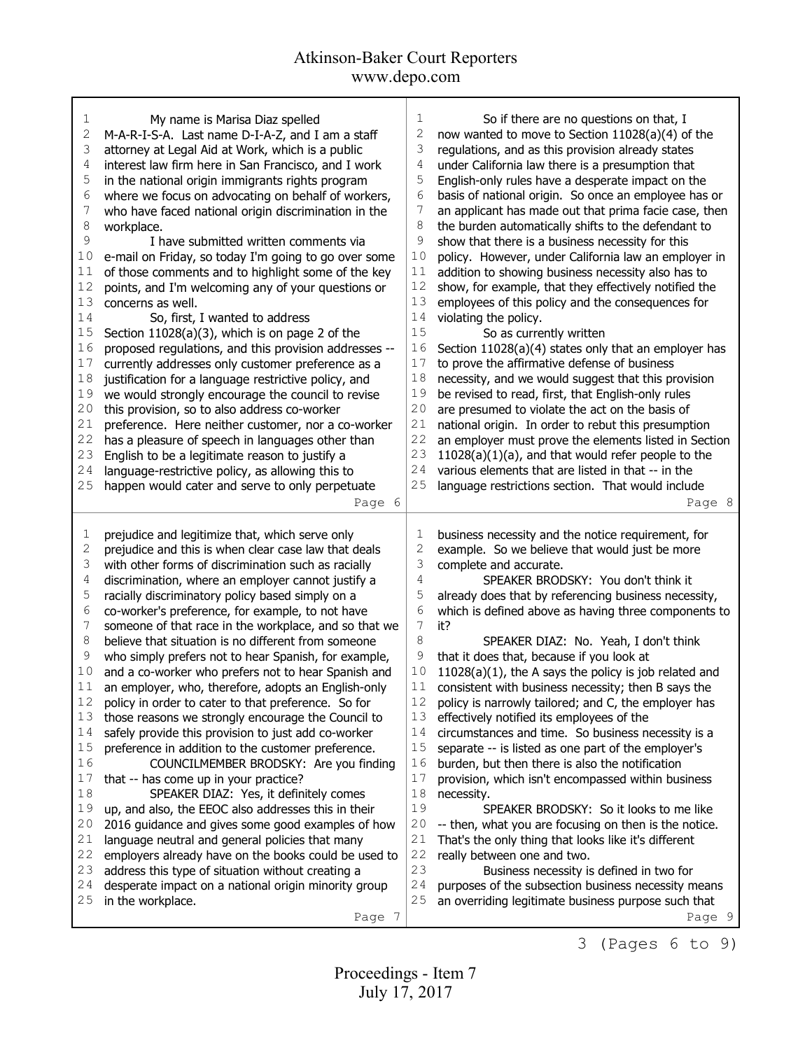| 1<br>So if there are no questions on that, I<br>1<br>My name is Marisa Diaz spelled<br>2<br>2<br>M-A-R-I-S-A. Last name D-I-A-Z, and I am a staff<br>now wanted to move to Section 11028(a)(4) of the<br>3<br>3<br>attorney at Legal Aid at Work, which is a public<br>regulations, and as this provision already states<br>4<br>4<br>interest law firm here in San Francisco, and I work<br>under California law there is a presumption that<br>5<br>5<br>English-only rules have a desperate impact on the<br>in the national origin immigrants rights program<br>6<br>6<br>where we focus on advocating on behalf of workers,<br>basis of national origin. So once an employee has or<br>7<br>7<br>an applicant has made out that prima facie case, then<br>who have faced national origin discrimination in the<br>8<br>8<br>the burden automatically shifts to the defendant to<br>workplace.<br>9<br>9<br>show that there is a business necessity for this<br>I have submitted written comments via<br>10<br>10<br>e-mail on Friday, so today I'm going to go over some<br>policy. However, under California law an employer in<br>11<br>11<br>of those comments and to highlight some of the key<br>addition to showing business necessity also has to<br>12<br>12<br>show, for example, that they effectively notified the<br>points, and I'm welcoming any of your questions or<br>13<br>13<br>concerns as well.<br>employees of this policy and the consequences for<br>14<br>14<br>violating the policy.<br>So, first, I wanted to address<br>15<br>15<br>Section 11028(a)(3), which is on page 2 of the<br>So as currently written<br>16<br>16<br>proposed regulations, and this provision addresses --<br>Section 11028(a)(4) states only that an employer has<br>$17$<br>17<br>currently addresses only customer preference as a<br>to prove the affirmative defense of business<br>18<br>18<br>justification for a language restrictive policy, and<br>necessity, and we would suggest that this provision<br>19<br>19<br>we would strongly encourage the council to revise<br>be revised to read, first, that English-only rules<br>20<br>20<br>this provision, so to also address co-worker<br>are presumed to violate the act on the basis of<br>21<br>21<br>national origin. In order to rebut this presumption<br>preference. Here neither customer, nor a co-worker<br>22<br>22<br>has a pleasure of speech in languages other than<br>an employer must prove the elements listed in Section<br>23<br>23<br>$11028(a)(1)(a)$ , and that would refer people to the<br>English to be a legitimate reason to justify a<br>24<br>24<br>language-restrictive policy, as allowing this to<br>various elements that are listed in that -- in the<br>25<br>25<br>language restrictions section. That would include<br>happen would cater and serve to only perpetuate<br>Page 6<br>Page 8<br>1<br>prejudice and legitimize that, which serve only<br>1<br>business necessity and the notice requirement, for<br>$\mathfrak{2}% _{S_{1},S_{2}}^{\prime}(\mathfrak{1}_{S_{1}},\mathfrak{2}_{S_{2}}^{\prime})$<br>$\mathbf{2}$<br>prejudice and this is when clear case law that deals<br>example. So we believe that would just be more<br>3<br>3<br>with other forms of discrimination such as racially<br>complete and accurate.<br>4<br>4<br>SPEAKER BRODSKY: You don't think it<br>discrimination, where an employer cannot justify a<br>5<br>5<br>racially discriminatory policy based simply on a<br>already does that by referencing business necessity,<br>6<br>6<br>co-worker's preference, for example, to not have<br>which is defined above as having three components to<br>7<br>7<br>someone of that race in the workplace, and so that we<br>it?<br>8<br>8<br>believe that situation is no different from someone<br>SPEAKER DIAZ: No. Yeah, I don't think<br>9<br>9<br>who simply prefers not to hear Spanish, for example,<br>that it does that, because if you look at<br>10<br>10<br>and a co-worker who prefers not to hear Spanish and<br>$11028(a)(1)$ , the A says the policy is job related and<br>$11$<br>11<br>consistent with business necessity; then B says the<br>an employer, who, therefore, adopts an English-only<br>12<br>policy in order to cater to that preference. So for<br>12<br>policy is narrowly tailored; and C, the employer has<br>13<br>13<br>those reasons we strongly encourage the Council to<br>effectively notified its employees of the<br>14<br>safely provide this provision to just add co-worker<br>14<br>circumstances and time. So business necessity is a<br>15<br>15<br>preference in addition to the customer preference.<br>separate -- is listed as one part of the employer's<br>16<br>16<br>burden, but then there is also the notification<br>COUNCILMEMBER BRODSKY: Are you finding<br>17<br>17<br>provision, which isn't encompassed within business<br>that -- has come up in your practice?<br>18<br>18<br>SPEAKER DIAZ: Yes, it definitely comes<br>necessity.<br>19<br>19<br>up, and also, the EEOC also addresses this in their<br>SPEAKER BRODSKY: So it looks to me like<br>20<br>20<br>2016 guidance and gives some good examples of how<br>-- then, what you are focusing on then is the notice.<br>21<br>21<br>language neutral and general policies that many<br>That's the only thing that looks like it's different<br>22<br>22<br>employers already have on the books could be used to<br>really between one and two.<br>23<br>23<br>address this type of situation without creating a<br>Business necessity is defined in two for<br>24<br>24<br>purposes of the subsection business necessity means<br>desperate impact on a national origin minority group<br>in the workplace.<br>25<br>25<br>an overriding legitimate business purpose such that<br>Page 7<br>Page 9 |  |  |
|--------------------------------------------------------------------------------------------------------------------------------------------------------------------------------------------------------------------------------------------------------------------------------------------------------------------------------------------------------------------------------------------------------------------------------------------------------------------------------------------------------------------------------------------------------------------------------------------------------------------------------------------------------------------------------------------------------------------------------------------------------------------------------------------------------------------------------------------------------------------------------------------------------------------------------------------------------------------------------------------------------------------------------------------------------------------------------------------------------------------------------------------------------------------------------------------------------------------------------------------------------------------------------------------------------------------------------------------------------------------------------------------------------------------------------------------------------------------------------------------------------------------------------------------------------------------------------------------------------------------------------------------------------------------------------------------------------------------------------------------------------------------------------------------------------------------------------------------------------------------------------------------------------------------------------------------------------------------------------------------------------------------------------------------------------------------------------------------------------------------------------------------------------------------------------------------------------------------------------------------------------------------------------------------------------------------------------------------------------------------------------------------------------------------------------------------------------------------------------------------------------------------------------------------------------------------------------------------------------------------------------------------------------------------------------------------------------------------------------------------------------------------------------------------------------------------------------------------------------------------------------------------------------------------------------------------------------------------------------------------------------------------------------------------------------------------------------------------------------------------------------------------------------------------------------------------------------------------------------------------------------------------------------------------------------------------------------------------------------------------------------------------------------------------------------------------------------------------------------------------------------------------------------------------------------------------------------------------------------------------------------------------------------------------------------------------------------------------------------------------------------------------------------------------------------------------------------------------------------------------------------------------------------------------------------------------------------------------------------------------------------------------------------------------------------------------------------------------------------------------------------------------------------------------------------------------------------------------------------------------------------------------------------------------------------------------------------------------------------------------------------------------------------------------------------------------------------------------------------------------------------------------------------------------------------------------------------------------------------------------------------------------------------------------------------------------------------------------------------------------------------------------------------------------------------------------------------------------------------------------------------------------------------------------------------------------------------------------------------------------------------------------------------------------------------------------------------------------------------------------------------------------------------------------------------------------------------------------------------------------------------------------------------------------------------------------------------------------------------------------------------------------------------------------------------------------------------------------------------------------------------------------------------------------------------------------------------------------------------------------------------------------------------------------------------------------------------------------------------------------------------------------------------------------------------------------------------------------------------------------------|--|--|
|                                                                                                                                                                                                                                                                                                                                                                                                                                                                                                                                                                                                                                                                                                                                                                                                                                                                                                                                                                                                                                                                                                                                                                                                                                                                                                                                                                                                                                                                                                                                                                                                                                                                                                                                                                                                                                                                                                                                                                                                                                                                                                                                                                                                                                                                                                                                                                                                                                                                                                                                                                                                                                                                                                                                                                                                                                                                                                                                                                                                                                                                                                                                                                                                                                                                                                                                                                                                                                                                                                                                                                                                                                                                                                                                                                                                                                                                                                                                                                                                                                                                                                                                                                                                                                                                                                                                                                                                                                                                                                                                                                                                                                                                                                                                                                                                                                                                                                                                                                                                                                                                                                                                                                                                                                                                                                                                                                                                                                                                                                                                                                                                                                                                                                                                                                                                                                                                          |  |  |
|                                                                                                                                                                                                                                                                                                                                                                                                                                                                                                                                                                                                                                                                                                                                                                                                                                                                                                                                                                                                                                                                                                                                                                                                                                                                                                                                                                                                                                                                                                                                                                                                                                                                                                                                                                                                                                                                                                                                                                                                                                                                                                                                                                                                                                                                                                                                                                                                                                                                                                                                                                                                                                                                                                                                                                                                                                                                                                                                                                                                                                                                                                                                                                                                                                                                                                                                                                                                                                                                                                                                                                                                                                                                                                                                                                                                                                                                                                                                                                                                                                                                                                                                                                                                                                                                                                                                                                                                                                                                                                                                                                                                                                                                                                                                                                                                                                                                                                                                                                                                                                                                                                                                                                                                                                                                                                                                                                                                                                                                                                                                                                                                                                                                                                                                                                                                                                                                          |  |  |
|                                                                                                                                                                                                                                                                                                                                                                                                                                                                                                                                                                                                                                                                                                                                                                                                                                                                                                                                                                                                                                                                                                                                                                                                                                                                                                                                                                                                                                                                                                                                                                                                                                                                                                                                                                                                                                                                                                                                                                                                                                                                                                                                                                                                                                                                                                                                                                                                                                                                                                                                                                                                                                                                                                                                                                                                                                                                                                                                                                                                                                                                                                                                                                                                                                                                                                                                                                                                                                                                                                                                                                                                                                                                                                                                                                                                                                                                                                                                                                                                                                                                                                                                                                                                                                                                                                                                                                                                                                                                                                                                                                                                                                                                                                                                                                                                                                                                                                                                                                                                                                                                                                                                                                                                                                                                                                                                                                                                                                                                                                                                                                                                                                                                                                                                                                                                                                                                          |  |  |
|                                                                                                                                                                                                                                                                                                                                                                                                                                                                                                                                                                                                                                                                                                                                                                                                                                                                                                                                                                                                                                                                                                                                                                                                                                                                                                                                                                                                                                                                                                                                                                                                                                                                                                                                                                                                                                                                                                                                                                                                                                                                                                                                                                                                                                                                                                                                                                                                                                                                                                                                                                                                                                                                                                                                                                                                                                                                                                                                                                                                                                                                                                                                                                                                                                                                                                                                                                                                                                                                                                                                                                                                                                                                                                                                                                                                                                                                                                                                                                                                                                                                                                                                                                                                                                                                                                                                                                                                                                                                                                                                                                                                                                                                                                                                                                                                                                                                                                                                                                                                                                                                                                                                                                                                                                                                                                                                                                                                                                                                                                                                                                                                                                                                                                                                                                                                                                                                          |  |  |
|                                                                                                                                                                                                                                                                                                                                                                                                                                                                                                                                                                                                                                                                                                                                                                                                                                                                                                                                                                                                                                                                                                                                                                                                                                                                                                                                                                                                                                                                                                                                                                                                                                                                                                                                                                                                                                                                                                                                                                                                                                                                                                                                                                                                                                                                                                                                                                                                                                                                                                                                                                                                                                                                                                                                                                                                                                                                                                                                                                                                                                                                                                                                                                                                                                                                                                                                                                                                                                                                                                                                                                                                                                                                                                                                                                                                                                                                                                                                                                                                                                                                                                                                                                                                                                                                                                                                                                                                                                                                                                                                                                                                                                                                                                                                                                                                                                                                                                                                                                                                                                                                                                                                                                                                                                                                                                                                                                                                                                                                                                                                                                                                                                                                                                                                                                                                                                                                          |  |  |
|                                                                                                                                                                                                                                                                                                                                                                                                                                                                                                                                                                                                                                                                                                                                                                                                                                                                                                                                                                                                                                                                                                                                                                                                                                                                                                                                                                                                                                                                                                                                                                                                                                                                                                                                                                                                                                                                                                                                                                                                                                                                                                                                                                                                                                                                                                                                                                                                                                                                                                                                                                                                                                                                                                                                                                                                                                                                                                                                                                                                                                                                                                                                                                                                                                                                                                                                                                                                                                                                                                                                                                                                                                                                                                                                                                                                                                                                                                                                                                                                                                                                                                                                                                                                                                                                                                                                                                                                                                                                                                                                                                                                                                                                                                                                                                                                                                                                                                                                                                                                                                                                                                                                                                                                                                                                                                                                                                                                                                                                                                                                                                                                                                                                                                                                                                                                                                                                          |  |  |
|                                                                                                                                                                                                                                                                                                                                                                                                                                                                                                                                                                                                                                                                                                                                                                                                                                                                                                                                                                                                                                                                                                                                                                                                                                                                                                                                                                                                                                                                                                                                                                                                                                                                                                                                                                                                                                                                                                                                                                                                                                                                                                                                                                                                                                                                                                                                                                                                                                                                                                                                                                                                                                                                                                                                                                                                                                                                                                                                                                                                                                                                                                                                                                                                                                                                                                                                                                                                                                                                                                                                                                                                                                                                                                                                                                                                                                                                                                                                                                                                                                                                                                                                                                                                                                                                                                                                                                                                                                                                                                                                                                                                                                                                                                                                                                                                                                                                                                                                                                                                                                                                                                                                                                                                                                                                                                                                                                                                                                                                                                                                                                                                                                                                                                                                                                                                                                                                          |  |  |
|                                                                                                                                                                                                                                                                                                                                                                                                                                                                                                                                                                                                                                                                                                                                                                                                                                                                                                                                                                                                                                                                                                                                                                                                                                                                                                                                                                                                                                                                                                                                                                                                                                                                                                                                                                                                                                                                                                                                                                                                                                                                                                                                                                                                                                                                                                                                                                                                                                                                                                                                                                                                                                                                                                                                                                                                                                                                                                                                                                                                                                                                                                                                                                                                                                                                                                                                                                                                                                                                                                                                                                                                                                                                                                                                                                                                                                                                                                                                                                                                                                                                                                                                                                                                                                                                                                                                                                                                                                                                                                                                                                                                                                                                                                                                                                                                                                                                                                                                                                                                                                                                                                                                                                                                                                                                                                                                                                                                                                                                                                                                                                                                                                                                                                                                                                                                                                                                          |  |  |
|                                                                                                                                                                                                                                                                                                                                                                                                                                                                                                                                                                                                                                                                                                                                                                                                                                                                                                                                                                                                                                                                                                                                                                                                                                                                                                                                                                                                                                                                                                                                                                                                                                                                                                                                                                                                                                                                                                                                                                                                                                                                                                                                                                                                                                                                                                                                                                                                                                                                                                                                                                                                                                                                                                                                                                                                                                                                                                                                                                                                                                                                                                                                                                                                                                                                                                                                                                                                                                                                                                                                                                                                                                                                                                                                                                                                                                                                                                                                                                                                                                                                                                                                                                                                                                                                                                                                                                                                                                                                                                                                                                                                                                                                                                                                                                                                                                                                                                                                                                                                                                                                                                                                                                                                                                                                                                                                                                                                                                                                                                                                                                                                                                                                                                                                                                                                                                                                          |  |  |
|                                                                                                                                                                                                                                                                                                                                                                                                                                                                                                                                                                                                                                                                                                                                                                                                                                                                                                                                                                                                                                                                                                                                                                                                                                                                                                                                                                                                                                                                                                                                                                                                                                                                                                                                                                                                                                                                                                                                                                                                                                                                                                                                                                                                                                                                                                                                                                                                                                                                                                                                                                                                                                                                                                                                                                                                                                                                                                                                                                                                                                                                                                                                                                                                                                                                                                                                                                                                                                                                                                                                                                                                                                                                                                                                                                                                                                                                                                                                                                                                                                                                                                                                                                                                                                                                                                                                                                                                                                                                                                                                                                                                                                                                                                                                                                                                                                                                                                                                                                                                                                                                                                                                                                                                                                                                                                                                                                                                                                                                                                                                                                                                                                                                                                                                                                                                                                                                          |  |  |
|                                                                                                                                                                                                                                                                                                                                                                                                                                                                                                                                                                                                                                                                                                                                                                                                                                                                                                                                                                                                                                                                                                                                                                                                                                                                                                                                                                                                                                                                                                                                                                                                                                                                                                                                                                                                                                                                                                                                                                                                                                                                                                                                                                                                                                                                                                                                                                                                                                                                                                                                                                                                                                                                                                                                                                                                                                                                                                                                                                                                                                                                                                                                                                                                                                                                                                                                                                                                                                                                                                                                                                                                                                                                                                                                                                                                                                                                                                                                                                                                                                                                                                                                                                                                                                                                                                                                                                                                                                                                                                                                                                                                                                                                                                                                                                                                                                                                                                                                                                                                                                                                                                                                                                                                                                                                                                                                                                                                                                                                                                                                                                                                                                                                                                                                                                                                                                                                          |  |  |
|                                                                                                                                                                                                                                                                                                                                                                                                                                                                                                                                                                                                                                                                                                                                                                                                                                                                                                                                                                                                                                                                                                                                                                                                                                                                                                                                                                                                                                                                                                                                                                                                                                                                                                                                                                                                                                                                                                                                                                                                                                                                                                                                                                                                                                                                                                                                                                                                                                                                                                                                                                                                                                                                                                                                                                                                                                                                                                                                                                                                                                                                                                                                                                                                                                                                                                                                                                                                                                                                                                                                                                                                                                                                                                                                                                                                                                                                                                                                                                                                                                                                                                                                                                                                                                                                                                                                                                                                                                                                                                                                                                                                                                                                                                                                                                                                                                                                                                                                                                                                                                                                                                                                                                                                                                                                                                                                                                                                                                                                                                                                                                                                                                                                                                                                                                                                                                                                          |  |  |
|                                                                                                                                                                                                                                                                                                                                                                                                                                                                                                                                                                                                                                                                                                                                                                                                                                                                                                                                                                                                                                                                                                                                                                                                                                                                                                                                                                                                                                                                                                                                                                                                                                                                                                                                                                                                                                                                                                                                                                                                                                                                                                                                                                                                                                                                                                                                                                                                                                                                                                                                                                                                                                                                                                                                                                                                                                                                                                                                                                                                                                                                                                                                                                                                                                                                                                                                                                                                                                                                                                                                                                                                                                                                                                                                                                                                                                                                                                                                                                                                                                                                                                                                                                                                                                                                                                                                                                                                                                                                                                                                                                                                                                                                                                                                                                                                                                                                                                                                                                                                                                                                                                                                                                                                                                                                                                                                                                                                                                                                                                                                                                                                                                                                                                                                                                                                                                                                          |  |  |
|                                                                                                                                                                                                                                                                                                                                                                                                                                                                                                                                                                                                                                                                                                                                                                                                                                                                                                                                                                                                                                                                                                                                                                                                                                                                                                                                                                                                                                                                                                                                                                                                                                                                                                                                                                                                                                                                                                                                                                                                                                                                                                                                                                                                                                                                                                                                                                                                                                                                                                                                                                                                                                                                                                                                                                                                                                                                                                                                                                                                                                                                                                                                                                                                                                                                                                                                                                                                                                                                                                                                                                                                                                                                                                                                                                                                                                                                                                                                                                                                                                                                                                                                                                                                                                                                                                                                                                                                                                                                                                                                                                                                                                                                                                                                                                                                                                                                                                                                                                                                                                                                                                                                                                                                                                                                                                                                                                                                                                                                                                                                                                                                                                                                                                                                                                                                                                                                          |  |  |
|                                                                                                                                                                                                                                                                                                                                                                                                                                                                                                                                                                                                                                                                                                                                                                                                                                                                                                                                                                                                                                                                                                                                                                                                                                                                                                                                                                                                                                                                                                                                                                                                                                                                                                                                                                                                                                                                                                                                                                                                                                                                                                                                                                                                                                                                                                                                                                                                                                                                                                                                                                                                                                                                                                                                                                                                                                                                                                                                                                                                                                                                                                                                                                                                                                                                                                                                                                                                                                                                                                                                                                                                                                                                                                                                                                                                                                                                                                                                                                                                                                                                                                                                                                                                                                                                                                                                                                                                                                                                                                                                                                                                                                                                                                                                                                                                                                                                                                                                                                                                                                                                                                                                                                                                                                                                                                                                                                                                                                                                                                                                                                                                                                                                                                                                                                                                                                                                          |  |  |
|                                                                                                                                                                                                                                                                                                                                                                                                                                                                                                                                                                                                                                                                                                                                                                                                                                                                                                                                                                                                                                                                                                                                                                                                                                                                                                                                                                                                                                                                                                                                                                                                                                                                                                                                                                                                                                                                                                                                                                                                                                                                                                                                                                                                                                                                                                                                                                                                                                                                                                                                                                                                                                                                                                                                                                                                                                                                                                                                                                                                                                                                                                                                                                                                                                                                                                                                                                                                                                                                                                                                                                                                                                                                                                                                                                                                                                                                                                                                                                                                                                                                                                                                                                                                                                                                                                                                                                                                                                                                                                                                                                                                                                                                                                                                                                                                                                                                                                                                                                                                                                                                                                                                                                                                                                                                                                                                                                                                                                                                                                                                                                                                                                                                                                                                                                                                                                                                          |  |  |
|                                                                                                                                                                                                                                                                                                                                                                                                                                                                                                                                                                                                                                                                                                                                                                                                                                                                                                                                                                                                                                                                                                                                                                                                                                                                                                                                                                                                                                                                                                                                                                                                                                                                                                                                                                                                                                                                                                                                                                                                                                                                                                                                                                                                                                                                                                                                                                                                                                                                                                                                                                                                                                                                                                                                                                                                                                                                                                                                                                                                                                                                                                                                                                                                                                                                                                                                                                                                                                                                                                                                                                                                                                                                                                                                                                                                                                                                                                                                                                                                                                                                                                                                                                                                                                                                                                                                                                                                                                                                                                                                                                                                                                                                                                                                                                                                                                                                                                                                                                                                                                                                                                                                                                                                                                                                                                                                                                                                                                                                                                                                                                                                                                                                                                                                                                                                                                                                          |  |  |
|                                                                                                                                                                                                                                                                                                                                                                                                                                                                                                                                                                                                                                                                                                                                                                                                                                                                                                                                                                                                                                                                                                                                                                                                                                                                                                                                                                                                                                                                                                                                                                                                                                                                                                                                                                                                                                                                                                                                                                                                                                                                                                                                                                                                                                                                                                                                                                                                                                                                                                                                                                                                                                                                                                                                                                                                                                                                                                                                                                                                                                                                                                                                                                                                                                                                                                                                                                                                                                                                                                                                                                                                                                                                                                                                                                                                                                                                                                                                                                                                                                                                                                                                                                                                                                                                                                                                                                                                                                                                                                                                                                                                                                                                                                                                                                                                                                                                                                                                                                                                                                                                                                                                                                                                                                                                                                                                                                                                                                                                                                                                                                                                                                                                                                                                                                                                                                                                          |  |  |
|                                                                                                                                                                                                                                                                                                                                                                                                                                                                                                                                                                                                                                                                                                                                                                                                                                                                                                                                                                                                                                                                                                                                                                                                                                                                                                                                                                                                                                                                                                                                                                                                                                                                                                                                                                                                                                                                                                                                                                                                                                                                                                                                                                                                                                                                                                                                                                                                                                                                                                                                                                                                                                                                                                                                                                                                                                                                                                                                                                                                                                                                                                                                                                                                                                                                                                                                                                                                                                                                                                                                                                                                                                                                                                                                                                                                                                                                                                                                                                                                                                                                                                                                                                                                                                                                                                                                                                                                                                                                                                                                                                                                                                                                                                                                                                                                                                                                                                                                                                                                                                                                                                                                                                                                                                                                                                                                                                                                                                                                                                                                                                                                                                                                                                                                                                                                                                                                          |  |  |
|                                                                                                                                                                                                                                                                                                                                                                                                                                                                                                                                                                                                                                                                                                                                                                                                                                                                                                                                                                                                                                                                                                                                                                                                                                                                                                                                                                                                                                                                                                                                                                                                                                                                                                                                                                                                                                                                                                                                                                                                                                                                                                                                                                                                                                                                                                                                                                                                                                                                                                                                                                                                                                                                                                                                                                                                                                                                                                                                                                                                                                                                                                                                                                                                                                                                                                                                                                                                                                                                                                                                                                                                                                                                                                                                                                                                                                                                                                                                                                                                                                                                                                                                                                                                                                                                                                                                                                                                                                                                                                                                                                                                                                                                                                                                                                                                                                                                                                                                                                                                                                                                                                                                                                                                                                                                                                                                                                                                                                                                                                                                                                                                                                                                                                                                                                                                                                                                          |  |  |
|                                                                                                                                                                                                                                                                                                                                                                                                                                                                                                                                                                                                                                                                                                                                                                                                                                                                                                                                                                                                                                                                                                                                                                                                                                                                                                                                                                                                                                                                                                                                                                                                                                                                                                                                                                                                                                                                                                                                                                                                                                                                                                                                                                                                                                                                                                                                                                                                                                                                                                                                                                                                                                                                                                                                                                                                                                                                                                                                                                                                                                                                                                                                                                                                                                                                                                                                                                                                                                                                                                                                                                                                                                                                                                                                                                                                                                                                                                                                                                                                                                                                                                                                                                                                                                                                                                                                                                                                                                                                                                                                                                                                                                                                                                                                                                                                                                                                                                                                                                                                                                                                                                                                                                                                                                                                                                                                                                                                                                                                                                                                                                                                                                                                                                                                                                                                                                                                          |  |  |
|                                                                                                                                                                                                                                                                                                                                                                                                                                                                                                                                                                                                                                                                                                                                                                                                                                                                                                                                                                                                                                                                                                                                                                                                                                                                                                                                                                                                                                                                                                                                                                                                                                                                                                                                                                                                                                                                                                                                                                                                                                                                                                                                                                                                                                                                                                                                                                                                                                                                                                                                                                                                                                                                                                                                                                                                                                                                                                                                                                                                                                                                                                                                                                                                                                                                                                                                                                                                                                                                                                                                                                                                                                                                                                                                                                                                                                                                                                                                                                                                                                                                                                                                                                                                                                                                                                                                                                                                                                                                                                                                                                                                                                                                                                                                                                                                                                                                                                                                                                                                                                                                                                                                                                                                                                                                                                                                                                                                                                                                                                                                                                                                                                                                                                                                                                                                                                                                          |  |  |
|                                                                                                                                                                                                                                                                                                                                                                                                                                                                                                                                                                                                                                                                                                                                                                                                                                                                                                                                                                                                                                                                                                                                                                                                                                                                                                                                                                                                                                                                                                                                                                                                                                                                                                                                                                                                                                                                                                                                                                                                                                                                                                                                                                                                                                                                                                                                                                                                                                                                                                                                                                                                                                                                                                                                                                                                                                                                                                                                                                                                                                                                                                                                                                                                                                                                                                                                                                                                                                                                                                                                                                                                                                                                                                                                                                                                                                                                                                                                                                                                                                                                                                                                                                                                                                                                                                                                                                                                                                                                                                                                                                                                                                                                                                                                                                                                                                                                                                                                                                                                                                                                                                                                                                                                                                                                                                                                                                                                                                                                                                                                                                                                                                                                                                                                                                                                                                                                          |  |  |
|                                                                                                                                                                                                                                                                                                                                                                                                                                                                                                                                                                                                                                                                                                                                                                                                                                                                                                                                                                                                                                                                                                                                                                                                                                                                                                                                                                                                                                                                                                                                                                                                                                                                                                                                                                                                                                                                                                                                                                                                                                                                                                                                                                                                                                                                                                                                                                                                                                                                                                                                                                                                                                                                                                                                                                                                                                                                                                                                                                                                                                                                                                                                                                                                                                                                                                                                                                                                                                                                                                                                                                                                                                                                                                                                                                                                                                                                                                                                                                                                                                                                                                                                                                                                                                                                                                                                                                                                                                                                                                                                                                                                                                                                                                                                                                                                                                                                                                                                                                                                                                                                                                                                                                                                                                                                                                                                                                                                                                                                                                                                                                                                                                                                                                                                                                                                                                                                          |  |  |
|                                                                                                                                                                                                                                                                                                                                                                                                                                                                                                                                                                                                                                                                                                                                                                                                                                                                                                                                                                                                                                                                                                                                                                                                                                                                                                                                                                                                                                                                                                                                                                                                                                                                                                                                                                                                                                                                                                                                                                                                                                                                                                                                                                                                                                                                                                                                                                                                                                                                                                                                                                                                                                                                                                                                                                                                                                                                                                                                                                                                                                                                                                                                                                                                                                                                                                                                                                                                                                                                                                                                                                                                                                                                                                                                                                                                                                                                                                                                                                                                                                                                                                                                                                                                                                                                                                                                                                                                                                                                                                                                                                                                                                                                                                                                                                                                                                                                                                                                                                                                                                                                                                                                                                                                                                                                                                                                                                                                                                                                                                                                                                                                                                                                                                                                                                                                                                                                          |  |  |
|                                                                                                                                                                                                                                                                                                                                                                                                                                                                                                                                                                                                                                                                                                                                                                                                                                                                                                                                                                                                                                                                                                                                                                                                                                                                                                                                                                                                                                                                                                                                                                                                                                                                                                                                                                                                                                                                                                                                                                                                                                                                                                                                                                                                                                                                                                                                                                                                                                                                                                                                                                                                                                                                                                                                                                                                                                                                                                                                                                                                                                                                                                                                                                                                                                                                                                                                                                                                                                                                                                                                                                                                                                                                                                                                                                                                                                                                                                                                                                                                                                                                                                                                                                                                                                                                                                                                                                                                                                                                                                                                                                                                                                                                                                                                                                                                                                                                                                                                                                                                                                                                                                                                                                                                                                                                                                                                                                                                                                                                                                                                                                                                                                                                                                                                                                                                                                                                          |  |  |
|                                                                                                                                                                                                                                                                                                                                                                                                                                                                                                                                                                                                                                                                                                                                                                                                                                                                                                                                                                                                                                                                                                                                                                                                                                                                                                                                                                                                                                                                                                                                                                                                                                                                                                                                                                                                                                                                                                                                                                                                                                                                                                                                                                                                                                                                                                                                                                                                                                                                                                                                                                                                                                                                                                                                                                                                                                                                                                                                                                                                                                                                                                                                                                                                                                                                                                                                                                                                                                                                                                                                                                                                                                                                                                                                                                                                                                                                                                                                                                                                                                                                                                                                                                                                                                                                                                                                                                                                                                                                                                                                                                                                                                                                                                                                                                                                                                                                                                                                                                                                                                                                                                                                                                                                                                                                                                                                                                                                                                                                                                                                                                                                                                                                                                                                                                                                                                                                          |  |  |
|                                                                                                                                                                                                                                                                                                                                                                                                                                                                                                                                                                                                                                                                                                                                                                                                                                                                                                                                                                                                                                                                                                                                                                                                                                                                                                                                                                                                                                                                                                                                                                                                                                                                                                                                                                                                                                                                                                                                                                                                                                                                                                                                                                                                                                                                                                                                                                                                                                                                                                                                                                                                                                                                                                                                                                                                                                                                                                                                                                                                                                                                                                                                                                                                                                                                                                                                                                                                                                                                                                                                                                                                                                                                                                                                                                                                                                                                                                                                                                                                                                                                                                                                                                                                                                                                                                                                                                                                                                                                                                                                                                                                                                                                                                                                                                                                                                                                                                                                                                                                                                                                                                                                                                                                                                                                                                                                                                                                                                                                                                                                                                                                                                                                                                                                                                                                                                                                          |  |  |
|                                                                                                                                                                                                                                                                                                                                                                                                                                                                                                                                                                                                                                                                                                                                                                                                                                                                                                                                                                                                                                                                                                                                                                                                                                                                                                                                                                                                                                                                                                                                                                                                                                                                                                                                                                                                                                                                                                                                                                                                                                                                                                                                                                                                                                                                                                                                                                                                                                                                                                                                                                                                                                                                                                                                                                                                                                                                                                                                                                                                                                                                                                                                                                                                                                                                                                                                                                                                                                                                                                                                                                                                                                                                                                                                                                                                                                                                                                                                                                                                                                                                                                                                                                                                                                                                                                                                                                                                                                                                                                                                                                                                                                                                                                                                                                                                                                                                                                                                                                                                                                                                                                                                                                                                                                                                                                                                                                                                                                                                                                                                                                                                                                                                                                                                                                                                                                                                          |  |  |
|                                                                                                                                                                                                                                                                                                                                                                                                                                                                                                                                                                                                                                                                                                                                                                                                                                                                                                                                                                                                                                                                                                                                                                                                                                                                                                                                                                                                                                                                                                                                                                                                                                                                                                                                                                                                                                                                                                                                                                                                                                                                                                                                                                                                                                                                                                                                                                                                                                                                                                                                                                                                                                                                                                                                                                                                                                                                                                                                                                                                                                                                                                                                                                                                                                                                                                                                                                                                                                                                                                                                                                                                                                                                                                                                                                                                                                                                                                                                                                                                                                                                                                                                                                                                                                                                                                                                                                                                                                                                                                                                                                                                                                                                                                                                                                                                                                                                                                                                                                                                                                                                                                                                                                                                                                                                                                                                                                                                                                                                                                                                                                                                                                                                                                                                                                                                                                                                          |  |  |
|                                                                                                                                                                                                                                                                                                                                                                                                                                                                                                                                                                                                                                                                                                                                                                                                                                                                                                                                                                                                                                                                                                                                                                                                                                                                                                                                                                                                                                                                                                                                                                                                                                                                                                                                                                                                                                                                                                                                                                                                                                                                                                                                                                                                                                                                                                                                                                                                                                                                                                                                                                                                                                                                                                                                                                                                                                                                                                                                                                                                                                                                                                                                                                                                                                                                                                                                                                                                                                                                                                                                                                                                                                                                                                                                                                                                                                                                                                                                                                                                                                                                                                                                                                                                                                                                                                                                                                                                                                                                                                                                                                                                                                                                                                                                                                                                                                                                                                                                                                                                                                                                                                                                                                                                                                                                                                                                                                                                                                                                                                                                                                                                                                                                                                                                                                                                                                                                          |  |  |
|                                                                                                                                                                                                                                                                                                                                                                                                                                                                                                                                                                                                                                                                                                                                                                                                                                                                                                                                                                                                                                                                                                                                                                                                                                                                                                                                                                                                                                                                                                                                                                                                                                                                                                                                                                                                                                                                                                                                                                                                                                                                                                                                                                                                                                                                                                                                                                                                                                                                                                                                                                                                                                                                                                                                                                                                                                                                                                                                                                                                                                                                                                                                                                                                                                                                                                                                                                                                                                                                                                                                                                                                                                                                                                                                                                                                                                                                                                                                                                                                                                                                                                                                                                                                                                                                                                                                                                                                                                                                                                                                                                                                                                                                                                                                                                                                                                                                                                                                                                                                                                                                                                                                                                                                                                                                                                                                                                                                                                                                                                                                                                                                                                                                                                                                                                                                                                                                          |  |  |
|                                                                                                                                                                                                                                                                                                                                                                                                                                                                                                                                                                                                                                                                                                                                                                                                                                                                                                                                                                                                                                                                                                                                                                                                                                                                                                                                                                                                                                                                                                                                                                                                                                                                                                                                                                                                                                                                                                                                                                                                                                                                                                                                                                                                                                                                                                                                                                                                                                                                                                                                                                                                                                                                                                                                                                                                                                                                                                                                                                                                                                                                                                                                                                                                                                                                                                                                                                                                                                                                                                                                                                                                                                                                                                                                                                                                                                                                                                                                                                                                                                                                                                                                                                                                                                                                                                                                                                                                                                                                                                                                                                                                                                                                                                                                                                                                                                                                                                                                                                                                                                                                                                                                                                                                                                                                                                                                                                                                                                                                                                                                                                                                                                                                                                                                                                                                                                                                          |  |  |
|                                                                                                                                                                                                                                                                                                                                                                                                                                                                                                                                                                                                                                                                                                                                                                                                                                                                                                                                                                                                                                                                                                                                                                                                                                                                                                                                                                                                                                                                                                                                                                                                                                                                                                                                                                                                                                                                                                                                                                                                                                                                                                                                                                                                                                                                                                                                                                                                                                                                                                                                                                                                                                                                                                                                                                                                                                                                                                                                                                                                                                                                                                                                                                                                                                                                                                                                                                                                                                                                                                                                                                                                                                                                                                                                                                                                                                                                                                                                                                                                                                                                                                                                                                                                                                                                                                                                                                                                                                                                                                                                                                                                                                                                                                                                                                                                                                                                                                                                                                                                                                                                                                                                                                                                                                                                                                                                                                                                                                                                                                                                                                                                                                                                                                                                                                                                                                                                          |  |  |
|                                                                                                                                                                                                                                                                                                                                                                                                                                                                                                                                                                                                                                                                                                                                                                                                                                                                                                                                                                                                                                                                                                                                                                                                                                                                                                                                                                                                                                                                                                                                                                                                                                                                                                                                                                                                                                                                                                                                                                                                                                                                                                                                                                                                                                                                                                                                                                                                                                                                                                                                                                                                                                                                                                                                                                                                                                                                                                                                                                                                                                                                                                                                                                                                                                                                                                                                                                                                                                                                                                                                                                                                                                                                                                                                                                                                                                                                                                                                                                                                                                                                                                                                                                                                                                                                                                                                                                                                                                                                                                                                                                                                                                                                                                                                                                                                                                                                                                                                                                                                                                                                                                                                                                                                                                                                                                                                                                                                                                                                                                                                                                                                                                                                                                                                                                                                                                                                          |  |  |
|                                                                                                                                                                                                                                                                                                                                                                                                                                                                                                                                                                                                                                                                                                                                                                                                                                                                                                                                                                                                                                                                                                                                                                                                                                                                                                                                                                                                                                                                                                                                                                                                                                                                                                                                                                                                                                                                                                                                                                                                                                                                                                                                                                                                                                                                                                                                                                                                                                                                                                                                                                                                                                                                                                                                                                                                                                                                                                                                                                                                                                                                                                                                                                                                                                                                                                                                                                                                                                                                                                                                                                                                                                                                                                                                                                                                                                                                                                                                                                                                                                                                                                                                                                                                                                                                                                                                                                                                                                                                                                                                                                                                                                                                                                                                                                                                                                                                                                                                                                                                                                                                                                                                                                                                                                                                                                                                                                                                                                                                                                                                                                                                                                                                                                                                                                                                                                                                          |  |  |
|                                                                                                                                                                                                                                                                                                                                                                                                                                                                                                                                                                                                                                                                                                                                                                                                                                                                                                                                                                                                                                                                                                                                                                                                                                                                                                                                                                                                                                                                                                                                                                                                                                                                                                                                                                                                                                                                                                                                                                                                                                                                                                                                                                                                                                                                                                                                                                                                                                                                                                                                                                                                                                                                                                                                                                                                                                                                                                                                                                                                                                                                                                                                                                                                                                                                                                                                                                                                                                                                                                                                                                                                                                                                                                                                                                                                                                                                                                                                                                                                                                                                                                                                                                                                                                                                                                                                                                                                                                                                                                                                                                                                                                                                                                                                                                                                                                                                                                                                                                                                                                                                                                                                                                                                                                                                                                                                                                                                                                                                                                                                                                                                                                                                                                                                                                                                                                                                          |  |  |
|                                                                                                                                                                                                                                                                                                                                                                                                                                                                                                                                                                                                                                                                                                                                                                                                                                                                                                                                                                                                                                                                                                                                                                                                                                                                                                                                                                                                                                                                                                                                                                                                                                                                                                                                                                                                                                                                                                                                                                                                                                                                                                                                                                                                                                                                                                                                                                                                                                                                                                                                                                                                                                                                                                                                                                                                                                                                                                                                                                                                                                                                                                                                                                                                                                                                                                                                                                                                                                                                                                                                                                                                                                                                                                                                                                                                                                                                                                                                                                                                                                                                                                                                                                                                                                                                                                                                                                                                                                                                                                                                                                                                                                                                                                                                                                                                                                                                                                                                                                                                                                                                                                                                                                                                                                                                                                                                                                                                                                                                                                                                                                                                                                                                                                                                                                                                                                                                          |  |  |
|                                                                                                                                                                                                                                                                                                                                                                                                                                                                                                                                                                                                                                                                                                                                                                                                                                                                                                                                                                                                                                                                                                                                                                                                                                                                                                                                                                                                                                                                                                                                                                                                                                                                                                                                                                                                                                                                                                                                                                                                                                                                                                                                                                                                                                                                                                                                                                                                                                                                                                                                                                                                                                                                                                                                                                                                                                                                                                                                                                                                                                                                                                                                                                                                                                                                                                                                                                                                                                                                                                                                                                                                                                                                                                                                                                                                                                                                                                                                                                                                                                                                                                                                                                                                                                                                                                                                                                                                                                                                                                                                                                                                                                                                                                                                                                                                                                                                                                                                                                                                                                                                                                                                                                                                                                                                                                                                                                                                                                                                                                                                                                                                                                                                                                                                                                                                                                                                          |  |  |
|                                                                                                                                                                                                                                                                                                                                                                                                                                                                                                                                                                                                                                                                                                                                                                                                                                                                                                                                                                                                                                                                                                                                                                                                                                                                                                                                                                                                                                                                                                                                                                                                                                                                                                                                                                                                                                                                                                                                                                                                                                                                                                                                                                                                                                                                                                                                                                                                                                                                                                                                                                                                                                                                                                                                                                                                                                                                                                                                                                                                                                                                                                                                                                                                                                                                                                                                                                                                                                                                                                                                                                                                                                                                                                                                                                                                                                                                                                                                                                                                                                                                                                                                                                                                                                                                                                                                                                                                                                                                                                                                                                                                                                                                                                                                                                                                                                                                                                                                                                                                                                                                                                                                                                                                                                                                                                                                                                                                                                                                                                                                                                                                                                                                                                                                                                                                                                                                          |  |  |
|                                                                                                                                                                                                                                                                                                                                                                                                                                                                                                                                                                                                                                                                                                                                                                                                                                                                                                                                                                                                                                                                                                                                                                                                                                                                                                                                                                                                                                                                                                                                                                                                                                                                                                                                                                                                                                                                                                                                                                                                                                                                                                                                                                                                                                                                                                                                                                                                                                                                                                                                                                                                                                                                                                                                                                                                                                                                                                                                                                                                                                                                                                                                                                                                                                                                                                                                                                                                                                                                                                                                                                                                                                                                                                                                                                                                                                                                                                                                                                                                                                                                                                                                                                                                                                                                                                                                                                                                                                                                                                                                                                                                                                                                                                                                                                                                                                                                                                                                                                                                                                                                                                                                                                                                                                                                                                                                                                                                                                                                                                                                                                                                                                                                                                                                                                                                                                                                          |  |  |
|                                                                                                                                                                                                                                                                                                                                                                                                                                                                                                                                                                                                                                                                                                                                                                                                                                                                                                                                                                                                                                                                                                                                                                                                                                                                                                                                                                                                                                                                                                                                                                                                                                                                                                                                                                                                                                                                                                                                                                                                                                                                                                                                                                                                                                                                                                                                                                                                                                                                                                                                                                                                                                                                                                                                                                                                                                                                                                                                                                                                                                                                                                                                                                                                                                                                                                                                                                                                                                                                                                                                                                                                                                                                                                                                                                                                                                                                                                                                                                                                                                                                                                                                                                                                                                                                                                                                                                                                                                                                                                                                                                                                                                                                                                                                                                                                                                                                                                                                                                                                                                                                                                                                                                                                                                                                                                                                                                                                                                                                                                                                                                                                                                                                                                                                                                                                                                                                          |  |  |
|                                                                                                                                                                                                                                                                                                                                                                                                                                                                                                                                                                                                                                                                                                                                                                                                                                                                                                                                                                                                                                                                                                                                                                                                                                                                                                                                                                                                                                                                                                                                                                                                                                                                                                                                                                                                                                                                                                                                                                                                                                                                                                                                                                                                                                                                                                                                                                                                                                                                                                                                                                                                                                                                                                                                                                                                                                                                                                                                                                                                                                                                                                                                                                                                                                                                                                                                                                                                                                                                                                                                                                                                                                                                                                                                                                                                                                                                                                                                                                                                                                                                                                                                                                                                                                                                                                                                                                                                                                                                                                                                                                                                                                                                                                                                                                                                                                                                                                                                                                                                                                                                                                                                                                                                                                                                                                                                                                                                                                                                                                                                                                                                                                                                                                                                                                                                                                                                          |  |  |
|                                                                                                                                                                                                                                                                                                                                                                                                                                                                                                                                                                                                                                                                                                                                                                                                                                                                                                                                                                                                                                                                                                                                                                                                                                                                                                                                                                                                                                                                                                                                                                                                                                                                                                                                                                                                                                                                                                                                                                                                                                                                                                                                                                                                                                                                                                                                                                                                                                                                                                                                                                                                                                                                                                                                                                                                                                                                                                                                                                                                                                                                                                                                                                                                                                                                                                                                                                                                                                                                                                                                                                                                                                                                                                                                                                                                                                                                                                                                                                                                                                                                                                                                                                                                                                                                                                                                                                                                                                                                                                                                                                                                                                                                                                                                                                                                                                                                                                                                                                                                                                                                                                                                                                                                                                                                                                                                                                                                                                                                                                                                                                                                                                                                                                                                                                                                                                                                          |  |  |
|                                                                                                                                                                                                                                                                                                                                                                                                                                                                                                                                                                                                                                                                                                                                                                                                                                                                                                                                                                                                                                                                                                                                                                                                                                                                                                                                                                                                                                                                                                                                                                                                                                                                                                                                                                                                                                                                                                                                                                                                                                                                                                                                                                                                                                                                                                                                                                                                                                                                                                                                                                                                                                                                                                                                                                                                                                                                                                                                                                                                                                                                                                                                                                                                                                                                                                                                                                                                                                                                                                                                                                                                                                                                                                                                                                                                                                                                                                                                                                                                                                                                                                                                                                                                                                                                                                                                                                                                                                                                                                                                                                                                                                                                                                                                                                                                                                                                                                                                                                                                                                                                                                                                                                                                                                                                                                                                                                                                                                                                                                                                                                                                                                                                                                                                                                                                                                                                          |  |  |
|                                                                                                                                                                                                                                                                                                                                                                                                                                                                                                                                                                                                                                                                                                                                                                                                                                                                                                                                                                                                                                                                                                                                                                                                                                                                                                                                                                                                                                                                                                                                                                                                                                                                                                                                                                                                                                                                                                                                                                                                                                                                                                                                                                                                                                                                                                                                                                                                                                                                                                                                                                                                                                                                                                                                                                                                                                                                                                                                                                                                                                                                                                                                                                                                                                                                                                                                                                                                                                                                                                                                                                                                                                                                                                                                                                                                                                                                                                                                                                                                                                                                                                                                                                                                                                                                                                                                                                                                                                                                                                                                                                                                                                                                                                                                                                                                                                                                                                                                                                                                                                                                                                                                                                                                                                                                                                                                                                                                                                                                                                                                                                                                                                                                                                                                                                                                                                                                          |  |  |
|                                                                                                                                                                                                                                                                                                                                                                                                                                                                                                                                                                                                                                                                                                                                                                                                                                                                                                                                                                                                                                                                                                                                                                                                                                                                                                                                                                                                                                                                                                                                                                                                                                                                                                                                                                                                                                                                                                                                                                                                                                                                                                                                                                                                                                                                                                                                                                                                                                                                                                                                                                                                                                                                                                                                                                                                                                                                                                                                                                                                                                                                                                                                                                                                                                                                                                                                                                                                                                                                                                                                                                                                                                                                                                                                                                                                                                                                                                                                                                                                                                                                                                                                                                                                                                                                                                                                                                                                                                                                                                                                                                                                                                                                                                                                                                                                                                                                                                                                                                                                                                                                                                                                                                                                                                                                                                                                                                                                                                                                                                                                                                                                                                                                                                                                                                                                                                                                          |  |  |
|                                                                                                                                                                                                                                                                                                                                                                                                                                                                                                                                                                                                                                                                                                                                                                                                                                                                                                                                                                                                                                                                                                                                                                                                                                                                                                                                                                                                                                                                                                                                                                                                                                                                                                                                                                                                                                                                                                                                                                                                                                                                                                                                                                                                                                                                                                                                                                                                                                                                                                                                                                                                                                                                                                                                                                                                                                                                                                                                                                                                                                                                                                                                                                                                                                                                                                                                                                                                                                                                                                                                                                                                                                                                                                                                                                                                                                                                                                                                                                                                                                                                                                                                                                                                                                                                                                                                                                                                                                                                                                                                                                                                                                                                                                                                                                                                                                                                                                                                                                                                                                                                                                                                                                                                                                                                                                                                                                                                                                                                                                                                                                                                                                                                                                                                                                                                                                                                          |  |  |
|                                                                                                                                                                                                                                                                                                                                                                                                                                                                                                                                                                                                                                                                                                                                                                                                                                                                                                                                                                                                                                                                                                                                                                                                                                                                                                                                                                                                                                                                                                                                                                                                                                                                                                                                                                                                                                                                                                                                                                                                                                                                                                                                                                                                                                                                                                                                                                                                                                                                                                                                                                                                                                                                                                                                                                                                                                                                                                                                                                                                                                                                                                                                                                                                                                                                                                                                                                                                                                                                                                                                                                                                                                                                                                                                                                                                                                                                                                                                                                                                                                                                                                                                                                                                                                                                                                                                                                                                                                                                                                                                                                                                                                                                                                                                                                                                                                                                                                                                                                                                                                                                                                                                                                                                                                                                                                                                                                                                                                                                                                                                                                                                                                                                                                                                                                                                                                                                          |  |  |
|                                                                                                                                                                                                                                                                                                                                                                                                                                                                                                                                                                                                                                                                                                                                                                                                                                                                                                                                                                                                                                                                                                                                                                                                                                                                                                                                                                                                                                                                                                                                                                                                                                                                                                                                                                                                                                                                                                                                                                                                                                                                                                                                                                                                                                                                                                                                                                                                                                                                                                                                                                                                                                                                                                                                                                                                                                                                                                                                                                                                                                                                                                                                                                                                                                                                                                                                                                                                                                                                                                                                                                                                                                                                                                                                                                                                                                                                                                                                                                                                                                                                                                                                                                                                                                                                                                                                                                                                                                                                                                                                                                                                                                                                                                                                                                                                                                                                                                                                                                                                                                                                                                                                                                                                                                                                                                                                                                                                                                                                                                                                                                                                                                                                                                                                                                                                                                                                          |  |  |
|                                                                                                                                                                                                                                                                                                                                                                                                                                                                                                                                                                                                                                                                                                                                                                                                                                                                                                                                                                                                                                                                                                                                                                                                                                                                                                                                                                                                                                                                                                                                                                                                                                                                                                                                                                                                                                                                                                                                                                                                                                                                                                                                                                                                                                                                                                                                                                                                                                                                                                                                                                                                                                                                                                                                                                                                                                                                                                                                                                                                                                                                                                                                                                                                                                                                                                                                                                                                                                                                                                                                                                                                                                                                                                                                                                                                                                                                                                                                                                                                                                                                                                                                                                                                                                                                                                                                                                                                                                                                                                                                                                                                                                                                                                                                                                                                                                                                                                                                                                                                                                                                                                                                                                                                                                                                                                                                                                                                                                                                                                                                                                                                                                                                                                                                                                                                                                                                          |  |  |
|                                                                                                                                                                                                                                                                                                                                                                                                                                                                                                                                                                                                                                                                                                                                                                                                                                                                                                                                                                                                                                                                                                                                                                                                                                                                                                                                                                                                                                                                                                                                                                                                                                                                                                                                                                                                                                                                                                                                                                                                                                                                                                                                                                                                                                                                                                                                                                                                                                                                                                                                                                                                                                                                                                                                                                                                                                                                                                                                                                                                                                                                                                                                                                                                                                                                                                                                                                                                                                                                                                                                                                                                                                                                                                                                                                                                                                                                                                                                                                                                                                                                                                                                                                                                                                                                                                                                                                                                                                                                                                                                                                                                                                                                                                                                                                                                                                                                                                                                                                                                                                                                                                                                                                                                                                                                                                                                                                                                                                                                                                                                                                                                                                                                                                                                                                                                                                                                          |  |  |
|                                                                                                                                                                                                                                                                                                                                                                                                                                                                                                                                                                                                                                                                                                                                                                                                                                                                                                                                                                                                                                                                                                                                                                                                                                                                                                                                                                                                                                                                                                                                                                                                                                                                                                                                                                                                                                                                                                                                                                                                                                                                                                                                                                                                                                                                                                                                                                                                                                                                                                                                                                                                                                                                                                                                                                                                                                                                                                                                                                                                                                                                                                                                                                                                                                                                                                                                                                                                                                                                                                                                                                                                                                                                                                                                                                                                                                                                                                                                                                                                                                                                                                                                                                                                                                                                                                                                                                                                                                                                                                                                                                                                                                                                                                                                                                                                                                                                                                                                                                                                                                                                                                                                                                                                                                                                                                                                                                                                                                                                                                                                                                                                                                                                                                                                                                                                                                                                          |  |  |
|                                                                                                                                                                                                                                                                                                                                                                                                                                                                                                                                                                                                                                                                                                                                                                                                                                                                                                                                                                                                                                                                                                                                                                                                                                                                                                                                                                                                                                                                                                                                                                                                                                                                                                                                                                                                                                                                                                                                                                                                                                                                                                                                                                                                                                                                                                                                                                                                                                                                                                                                                                                                                                                                                                                                                                                                                                                                                                                                                                                                                                                                                                                                                                                                                                                                                                                                                                                                                                                                                                                                                                                                                                                                                                                                                                                                                                                                                                                                                                                                                                                                                                                                                                                                                                                                                                                                                                                                                                                                                                                                                                                                                                                                                                                                                                                                                                                                                                                                                                                                                                                                                                                                                                                                                                                                                                                                                                                                                                                                                                                                                                                                                                                                                                                                                                                                                                                                          |  |  |
|                                                                                                                                                                                                                                                                                                                                                                                                                                                                                                                                                                                                                                                                                                                                                                                                                                                                                                                                                                                                                                                                                                                                                                                                                                                                                                                                                                                                                                                                                                                                                                                                                                                                                                                                                                                                                                                                                                                                                                                                                                                                                                                                                                                                                                                                                                                                                                                                                                                                                                                                                                                                                                                                                                                                                                                                                                                                                                                                                                                                                                                                                                                                                                                                                                                                                                                                                                                                                                                                                                                                                                                                                                                                                                                                                                                                                                                                                                                                                                                                                                                                                                                                                                                                                                                                                                                                                                                                                                                                                                                                                                                                                                                                                                                                                                                                                                                                                                                                                                                                                                                                                                                                                                                                                                                                                                                                                                                                                                                                                                                                                                                                                                                                                                                                                                                                                                                                          |  |  |
|                                                                                                                                                                                                                                                                                                                                                                                                                                                                                                                                                                                                                                                                                                                                                                                                                                                                                                                                                                                                                                                                                                                                                                                                                                                                                                                                                                                                                                                                                                                                                                                                                                                                                                                                                                                                                                                                                                                                                                                                                                                                                                                                                                                                                                                                                                                                                                                                                                                                                                                                                                                                                                                                                                                                                                                                                                                                                                                                                                                                                                                                                                                                                                                                                                                                                                                                                                                                                                                                                                                                                                                                                                                                                                                                                                                                                                                                                                                                                                                                                                                                                                                                                                                                                                                                                                                                                                                                                                                                                                                                                                                                                                                                                                                                                                                                                                                                                                                                                                                                                                                                                                                                                                                                                                                                                                                                                                                                                                                                                                                                                                                                                                                                                                                                                                                                                                                                          |  |  |

3 (Pages 6 to 9)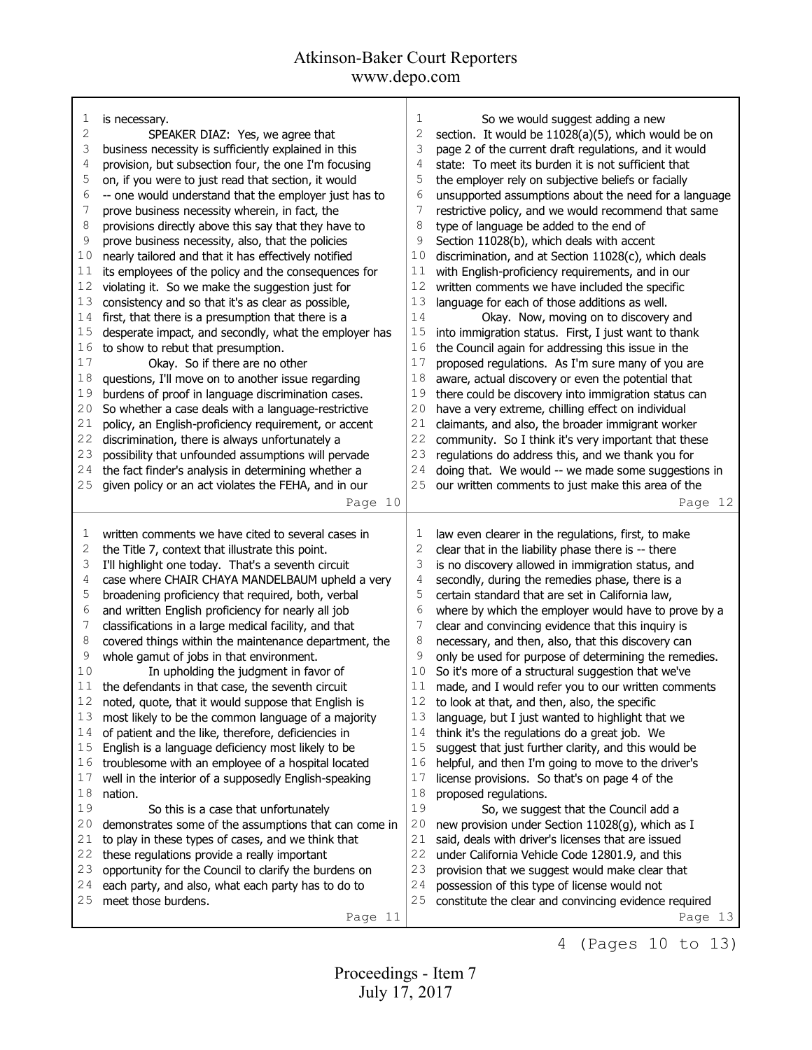| 1  | is necessary.                                         | 1  | So we would suggest adding a new                      |
|----|-------------------------------------------------------|----|-------------------------------------------------------|
| 2  | SPEAKER DIAZ: Yes, we agree that                      | 2  | section. It would be 11028(a)(5), which would be on   |
| 3  | business necessity is sufficiently explained in this  | 3  | page 2 of the current draft regulations, and it would |
| 4  | provision, but subsection four, the one I'm focusing  | 4  | state: To meet its burden it is not sufficient that   |
| 5  | on, if you were to just read that section, it would   | 5  | the employer rely on subjective beliefs or facially   |
| 6  | -- one would understand that the employer just has to | 6  | unsupported assumptions about the need for a language |
| 7  | prove business necessity wherein, in fact, the        | 7  | restrictive policy, and we would recommend that same  |
| 8  | provisions directly above this say that they have to  | 8  | type of language be added to the end of               |
| 9  | prove business necessity, also, that the policies     | 9  | Section 11028(b), which deals with accent             |
| 10 | nearly tailored and that it has effectively notified  | 10 | discrimination, and at Section 11028(c), which deals  |
| 11 | its employees of the policy and the consequences for  | 11 | with English-proficiency requirements, and in our     |
| 12 | violating it. So we make the suggestion just for      | 12 | written comments we have included the specific        |
| 13 | consistency and so that it's as clear as possible,    | 13 | language for each of those additions as well.         |
| 14 | first, that there is a presumption that there is a    | 14 | Okay. Now, moving on to discovery and                 |
| 15 | desperate impact, and secondly, what the employer has | 15 | into immigration status. First, I just want to thank  |
| 16 | to show to rebut that presumption.                    | 16 | the Council again for addressing this issue in the    |
| 17 | Okay. So if there are no other                        | 17 | proposed regulations. As I'm sure many of you are     |
| 18 | questions, I'll move on to another issue regarding    | 18 | aware, actual discovery or even the potential that    |
| 19 | burdens of proof in language discrimination cases.    | 19 | there could be discovery into immigration status can  |
| 20 | So whether a case deals with a language-restrictive   | 20 | have a very extreme, chilling effect on individual    |
| 21 | policy, an English-proficiency requirement, or accent | 21 | claimants, and also, the broader immigrant worker     |
| 22 | discrimination, there is always unfortunately a       | 22 | community. So I think it's very important that these  |
| 23 | possibility that unfounded assumptions will pervade   | 23 | regulations do address this, and we thank you for     |
| 24 | the fact finder's analysis in determining whether a   | 24 | doing that. We would -- we made some suggestions in   |
| 25 | given policy or an act violates the FEHA, and in our  | 25 | our written comments to just make this area of the    |
|    | Page 10                                               |    | Page 12                                               |
|    |                                                       |    |                                                       |
|    |                                                       |    |                                                       |
| 1  | written comments we have cited to several cases in    | 1  | law even clearer in the regulations, first, to make   |
| 2  | the Title 7, context that illustrate this point.      | 2  | clear that in the liability phase there is -- there   |
| 3  | I'll highlight one today. That's a seventh circuit    | 3  | is no discovery allowed in immigration status, and    |
| 4  | case where CHAIR CHAYA MANDELBAUM upheld a very       | 4  | secondly, during the remedies phase, there is a       |
| 5  | broadening proficiency that required, both, verbal    | 5  | certain standard that are set in California law,      |
| 6  | and written English proficiency for nearly all job    | 6  | where by which the employer would have to prove by a  |
| 7  | classifications in a large medical facility, and that | 7  | clear and convincing evidence that this inquiry is    |
| 8  | covered things within the maintenance department, the | 8  | necessary, and then, also, that this discovery can    |
| 9  | whole gamut of jobs in that environment.              | 9  | only be used for purpose of determining the remedies. |
| 10 | In upholding the judgment in favor of                 | 10 | So it's more of a structural suggestion that we've    |
| 11 | the defendants in that case, the seventh circuit      | 11 | made, and I would refer you to our written comments   |
| 12 | noted, quote, that it would suppose that English is   | 12 | to look at that, and then, also, the specific         |
| 13 | most likely to be the common language of a majority   | 13 | language, but I just wanted to highlight that we      |
| 14 | of patient and the like, therefore, deficiencies in   | 14 | think it's the regulations do a great job. We         |
| 15 | English is a language deficiency most likely to be    | 15 | suggest that just further clarity, and this would be  |
| 16 | troublesome with an employee of a hospital located    | 16 | helpful, and then I'm going to move to the driver's   |
| 17 | well in the interior of a supposedly English-speaking | 17 | license provisions. So that's on page 4 of the        |
| 18 | nation.                                               | 18 | proposed regulations.                                 |
| 19 | So this is a case that unfortunately                  | 19 | So, we suggest that the Council add a                 |
| 20 | demonstrates some of the assumptions that can come in | 20 | new provision under Section 11028(g), which as I      |
| 21 | to play in these types of cases, and we think that    | 21 | said, deals with driver's licenses that are issued    |
| 22 | these regulations provide a really important          | 22 | under California Vehicle Code 12801.9, and this       |
| 23 | opportunity for the Council to clarify the burdens on | 23 | provision that we suggest would make clear that       |
| 24 | each party, and also, what each party has to do to    | 24 | possession of this type of license would not          |
| 25 | meet those burdens.                                   | 25 | constitute the clear and convincing evidence required |

4 (Pages 10 to 13)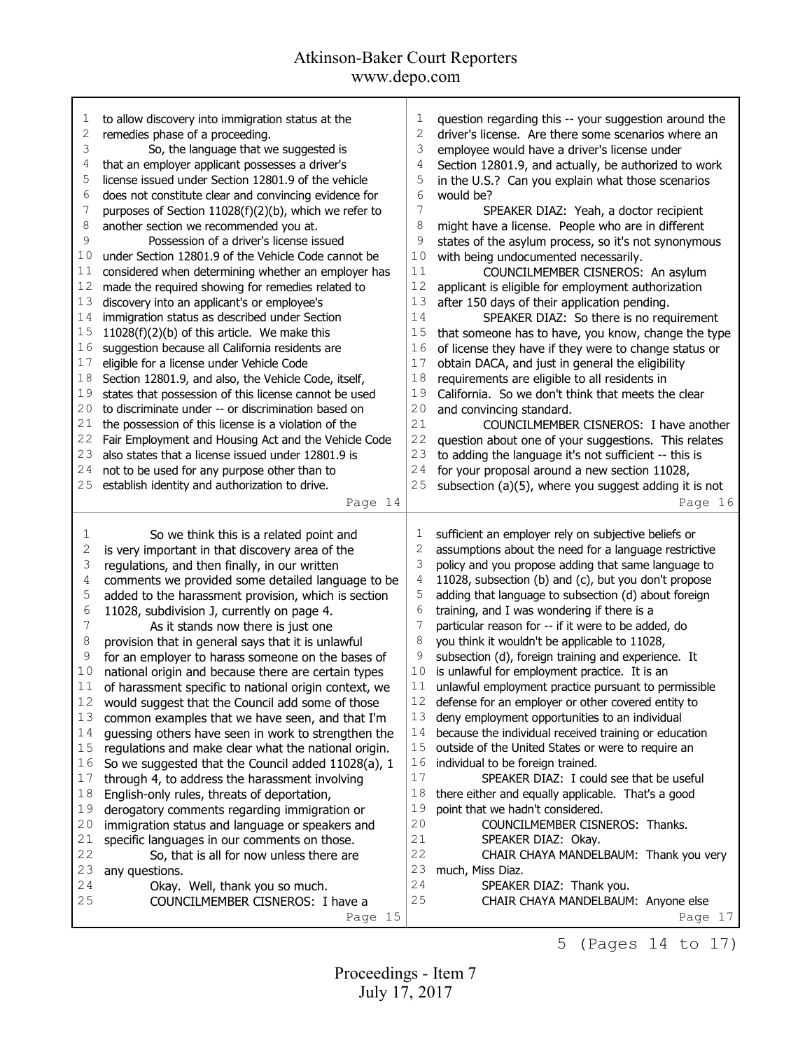| 1            | to allow discovery into immigration status at the     | 1              | question regarding this -- your suggestion around the              |
|--------------|-------------------------------------------------------|----------------|--------------------------------------------------------------------|
| $\mathbf{2}$ | remedies phase of a proceeding.                       | $\overline{c}$ | driver's license. Are there some scenarios where an                |
| 3            | So, the language that we suggested is                 | 3              | employee would have a driver's license under                       |
| 4            | that an employer applicant possesses a driver's       | 4              |                                                                    |
|              |                                                       |                | Section 12801.9, and actually, be authorized to work               |
| 5            | license issued under Section 12801.9 of the vehicle   | 5              | in the U.S.? Can you explain what those scenarios                  |
| 6            | does not constitute clear and convincing evidence for | 6              | would be?                                                          |
| 7            | purposes of Section 11028(f)(2)(b), which we refer to | 7              | SPEAKER DIAZ: Yeah, a doctor recipient                             |
| 8            | another section we recommended you at.                | 8              | might have a license. People who are in different                  |
| 9            | Possession of a driver's license issued               | 9              | states of the asylum process, so it's not synonymous               |
| 10           | under Section 12801.9 of the Vehicle Code cannot be   | 10             | with being undocumented necessarily.                               |
| 11           | considered when determining whether an employer has   | 11             | COUNCILMEMBER CISNEROS: An asylum                                  |
| 12           | made the required showing for remedies related to     | 12             | applicant is eligible for employment authorization                 |
| 13           | discovery into an applicant's or employee's           | 13             | after 150 days of their application pending.                       |
| 14           | immigration status as described under Section         | 14             | SPEAKER DIAZ: So there is no requirement                           |
| 15           | 11028(f)(2)(b) of this article. We make this          | 15             | that someone has to have, you know, change the type                |
| 16           | suggestion because all California residents are       | 16             | of license they have if they were to change status or              |
| 17           | eligible for a license under Vehicle Code             | 17             | obtain DACA, and just in general the eligibility                   |
| 18           | Section 12801.9, and also, the Vehicle Code, itself,  | $1\,8$         | requirements are eligible to all residents in                      |
| 19           | states that possession of this license cannot be used | 19             | California. So we don't think that meets the clear                 |
| 20           | to discriminate under -- or discrimination based on   | 20             |                                                                    |
| 21           |                                                       | 21             | and convincing standard.<br>COUNCILMEMBER CISNEROS: I have another |
|              | the possession of this license is a violation of the  | 22             |                                                                    |
| 22           | Fair Employment and Housing Act and the Vehicle Code  |                | question about one of your suggestions. This relates               |
| 23           | also states that a license issued under 12801.9 is    | 23             | to adding the language it's not sufficient -- this is              |
| 24           | not to be used for any purpose other than to          | 24             | for your proposal around a new section 11028,                      |
| 25           | establish identity and authorization to drive.        | 25             | subsection (a)(5), where you suggest adding it is not              |
|              | Page 14                                               |                | Page 16                                                            |
|              |                                                       |                |                                                                    |
|              |                                                       |                |                                                                    |
| 1            | So we think this is a related point and               | 1              | sufficient an employer rely on subjective beliefs or               |
| 2            | is very important in that discovery area of the       | 2              | assumptions about the need for a language restrictive              |
| 3            | regulations, and then finally, in our written         | 3              | policy and you propose adding that same language to                |
| 4            | comments we provided some detailed language to be     | 4              | 11028, subsection (b) and (c), but you don't propose               |
| 5            |                                                       | 5              | adding that language to subsection (d) about foreign               |
| 6            | added to the harassment provision, which is section   | 6              |                                                                    |
| 7            | 11028, subdivision J, currently on page 4.            | 7              | training, and I was wondering if there is a                        |
| 8            | As it stands now there is just one                    | 8              | particular reason for -- if it were to be added, do                |
| 9            | provision that in general says that it is unlawful    | 9              | you think it wouldn't be applicable to 11028,                      |
|              | for an employer to harass someone on the bases of     |                | subsection (d), foreign training and experience. It                |
| 10           | national origin and because there are certain types   | 10             | is unlawful for employment practice. It is an                      |
| 11           | of harassment specific to national origin context, we | 11             | unlawful employment practice pursuant to permissible               |
| 12           | would suggest that the Council add some of those      |                | 12 defense for an employer or other covered entity to              |
| 13           | common examples that we have seen, and that I'm       | 13             | deny employment opportunities to an individual                     |
| 14           | guessing others have seen in work to strengthen the   | 14             | because the individual received training or education              |
| 15           | regulations and make clear what the national origin.  | $15$           | outside of the United States or were to require an                 |
| 16           | So we suggested that the Council added 11028(a), 1    | 16             | individual to be foreign trained.                                  |
| 17           | through 4, to address the harassment involving        | 17             | SPEAKER DIAZ: I could see that be useful                           |
| 18           | English-only rules, threats of deportation,           | 18             | there either and equally applicable. That's a good                 |
| 19           | derogatory comments regarding immigration or          | 19             | point that we hadn't considered.                                   |
| 20           | immigration status and language or speakers and       | 20             | COUNCILMEMBER CISNEROS: Thanks.                                    |
| 21           | specific languages in our comments on those.          | 21             | SPEAKER DIAZ: Okay.                                                |
| 22           | So, that is all for now unless there are              | 22             | CHAIR CHAYA MANDELBAUM: Thank you very                             |
| 23           | any questions.                                        | 23             | much, Miss Diaz.                                                   |
| 24           | Okay. Well, thank you so much.                        | 24             | SPEAKER DIAZ: Thank you.                                           |
| 25           | COUNCILMEMBER CISNEROS: I have a                      | 25             | CHAIR CHAYA MANDELBAUM: Anyone else                                |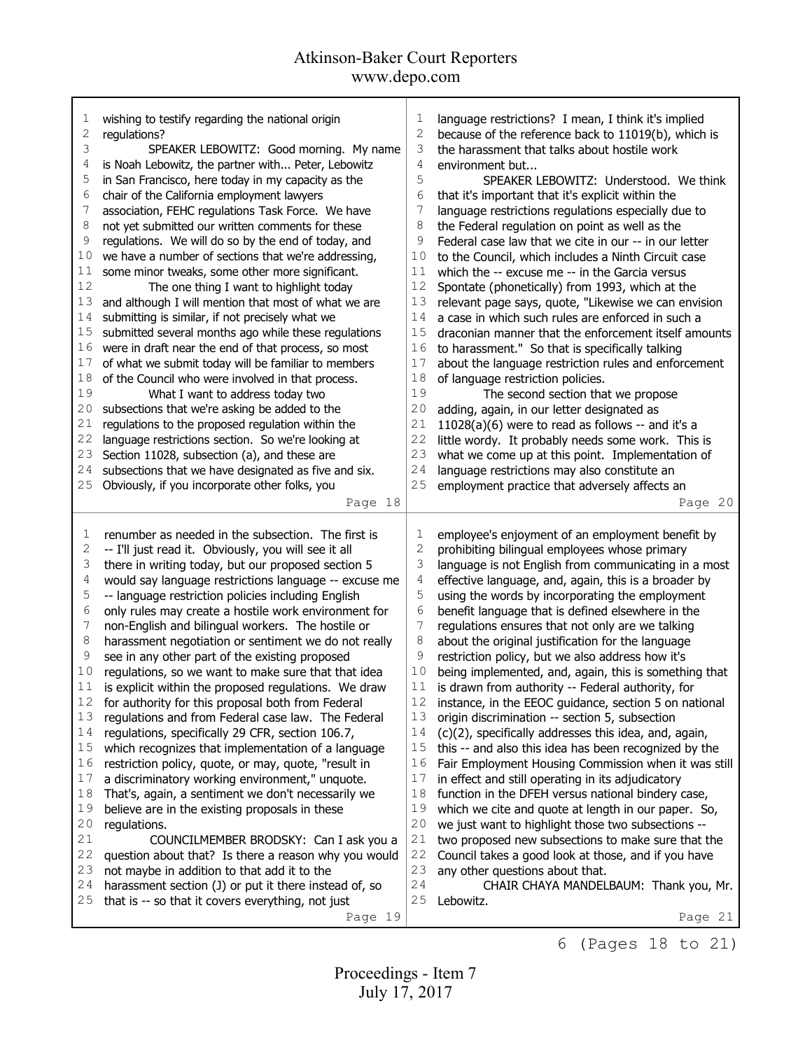| 1          | wishing to testify regarding the national origin                                                     | 1              | language restrictions? I mean, I think it's implied                                    |
|------------|------------------------------------------------------------------------------------------------------|----------------|----------------------------------------------------------------------------------------|
| 2          | regulations?                                                                                         | $\mathbf{2}$   | because of the reference back to 11019(b), which is                                    |
| 3          | SPEAKER LEBOWITZ: Good morning. My name                                                              | 3              | the harassment that talks about hostile work                                           |
| 4          | is Noah Lebowitz, the partner with Peter, Lebowitz                                                   | 4              | environment but                                                                        |
| 5          | in San Francisco, here today in my capacity as the                                                   | 5              | SPEAKER LEBOWITZ: Understood. We think                                                 |
| 6          | chair of the California employment lawyers                                                           | $\epsilon$     | that it's important that it's explicit within the                                      |
| 7          | association, FEHC regulations Task Force. We have                                                    | 7              | language restrictions regulations especially due to                                    |
| 8          | not yet submitted our written comments for these                                                     | 8              | the Federal regulation on point as well as the                                         |
| 9          | regulations. We will do so by the end of today, and                                                  | 9              | Federal case law that we cite in our -- in our letter                                  |
| 10         | we have a number of sections that we're addressing,                                                  | 10             |                                                                                        |
|            |                                                                                                      |                | to the Council, which includes a Ninth Circuit case                                    |
| 11         | some minor tweaks, some other more significant.                                                      | 11             | which the -- excuse me -- in the Garcia versus                                         |
| 12         | The one thing I want to highlight today                                                              | 12             | Spontate (phonetically) from 1993, which at the                                        |
| 13         | and although I will mention that most of what we are                                                 | 13             | relevant page says, quote, "Likewise we can envision                                   |
| 14         | submitting is similar, if not precisely what we                                                      | 14             | a case in which such rules are enforced in such a                                      |
| 15         | submitted several months ago while these regulations                                                 | 15             | draconian manner that the enforcement itself amounts                                   |
| 16         | were in draft near the end of that process, so most                                                  | 16             | to harassment." So that is specifically talking                                        |
| 17         | of what we submit today will be familiar to members                                                  | 17             | about the language restriction rules and enforcement                                   |
| 18         | of the Council who were involved in that process.                                                    | 18             | of language restriction policies.                                                      |
| 19         | What I want to address today two                                                                     | 19             | The second section that we propose                                                     |
| 20         | subsections that we're asking be added to the                                                        | 20             | adding, again, in our letter designated as                                             |
| 21         | regulations to the proposed regulation within the                                                    | 21             | $11028(a)(6)$ were to read as follows -- and it's a                                    |
| 22         | language restrictions section. So we're looking at                                                   | 22             | little wordy. It probably needs some work. This is                                     |
| 23         | Section 11028, subsection (a), and these are                                                         | 23             | what we come up at this point. Implementation of                                       |
| 24         | subsections that we have designated as five and six.                                                 | 24             | language restrictions may also constitute an                                           |
| 25         | Obviously, if you incorporate other folks, you                                                       | 25             | employment practice that adversely affects an                                          |
|            | Page 18                                                                                              |                | Page 20                                                                                |
|            |                                                                                                      |                |                                                                                        |
|            |                                                                                                      |                |                                                                                        |
| 1          | renumber as needed in the subsection. The first is                                                   | 1              | employee's enjoyment of an employment benefit by                                       |
| $\sqrt{2}$ | -- I'll just read it. Obviously, you will see it all                                                 | $\mathbf 2$    | prohibiting bilingual employees whose primary                                          |
| 3          | there in writing today, but our proposed section 5                                                   | 3              | language is not English from communicating in a most                                   |
| 4          | would say language restrictions language -- excuse me                                                | $\overline{4}$ | effective language, and, again, this is a broader by                                   |
| 5          | -- language restriction policies including English                                                   | 5              | using the words by incorporating the employment                                        |
| 6          | only rules may create a hostile work environment for                                                 | 6              | benefit language that is defined elsewhere in the                                      |
| 7          | non-English and bilingual workers. The hostile or                                                    | 7              | regulations ensures that not only are we talking                                       |
| 8          | harassment negotiation or sentiment we do not really                                                 | 8              | about the original justification for the language                                      |
| 9          | see in any other part of the existing proposed                                                       | 9              | restriction policy, but we also address how it's                                       |
| 10         | regulations, so we want to make sure that that idea                                                  | 10             | being implemented, and, again, this is something that                                  |
| 11         | is explicit within the proposed regulations. We draw                                                 | 11             | is drawn from authority -- Federal authority, for                                      |
| 12         |                                                                                                      |                | instance, in the EEOC guidance, section 5 on national                                  |
|            | for authority for this proposal both from Federal                                                    | 12             |                                                                                        |
| 13         | regulations and from Federal case law. The Federal                                                   | 13             | origin discrimination -- section 5, subsection                                         |
| 14         | regulations, specifically 29 CFR, section 106.7,                                                     | 14             | (c)(2), specifically addresses this idea, and, again,                                  |
| 15         | which recognizes that implementation of a language                                                   | 15             | this -- and also this idea has been recognized by the                                  |
| 16         | restriction policy, quote, or may, quote, "result in                                                 | 16             | Fair Employment Housing Commission when it was still                                   |
| $17$       | a discriminatory working environment," unquote.                                                      | 17             | in effect and still operating in its adjudicatory                                      |
| 18         | That's, again, a sentiment we don't necessarily we                                                   | 18             | function in the DFEH versus national bindery case,                                     |
| 19         | believe are in the existing proposals in these                                                       | 19             | which we cite and quote at length in our paper. So,                                    |
| 20         | regulations.                                                                                         | 20             | we just want to highlight those two subsections --                                     |
| 21         | COUNCILMEMBER BRODSKY: Can I ask you a                                                               | $2\,1$         | two proposed new subsections to make sure that the                                     |
| 22         | question about that? Is there a reason why you would                                                 | 22             |                                                                                        |
| 23         |                                                                                                      | 23             | Council takes a good look at those, and if you have<br>any other questions about that. |
| 24         | not maybe in addition to that add it to the<br>harassment section (J) or put it there instead of, so | 24             | CHAIR CHAYA MANDELBAUM: Thank you, Mr.                                                 |
| 25         | that is -- so that it covers everything, not just                                                    | 25             | Lebowitz.                                                                              |
|            | Page 19                                                                                              |                | Page 21                                                                                |

6 (Pages 18 to 21)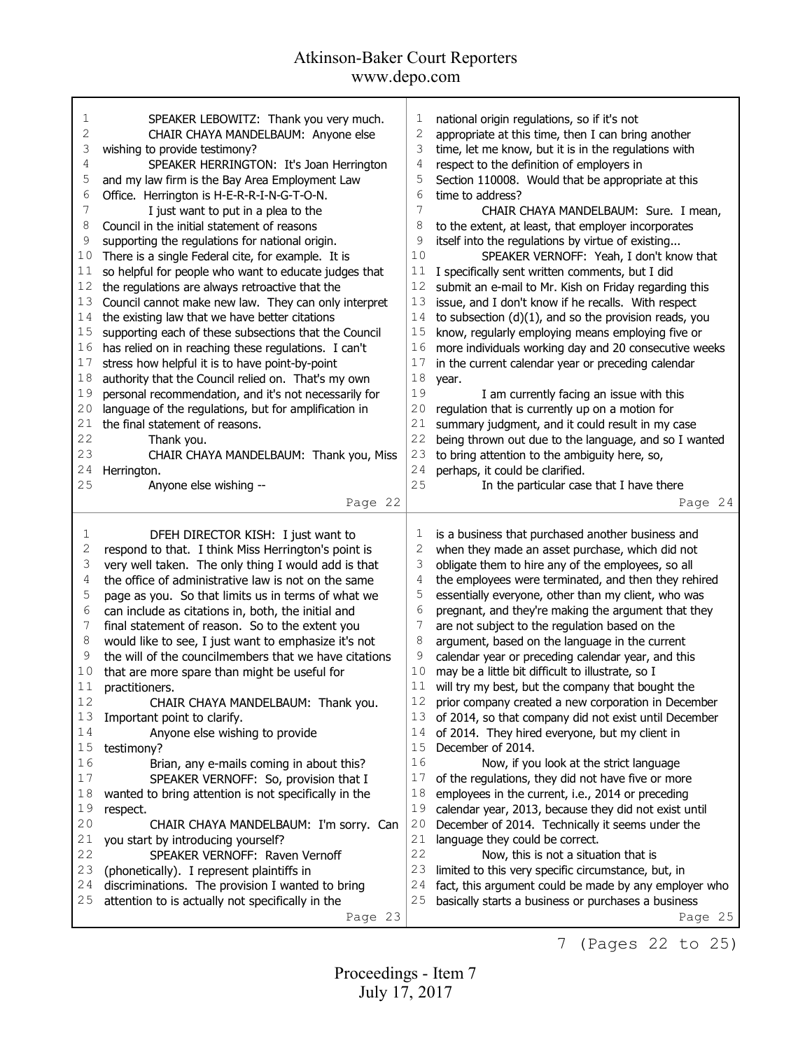| 1      | SPEAKER LEBOWITZ: Thank you very much.                      | 1      | national origin regulations, so if it's not                    |
|--------|-------------------------------------------------------------|--------|----------------------------------------------------------------|
| 2      | CHAIR CHAYA MANDELBAUM: Anyone else                         | 2      | appropriate at this time, then I can bring another             |
| 3      | wishing to provide testimony?                               | 3      | time, let me know, but it is in the regulations with           |
| 4      | SPEAKER HERRINGTON: It's Joan Herrington                    | 4      | respect to the definition of employers in                      |
| 5      | and my law firm is the Bay Area Employment Law              | 5      |                                                                |
|        |                                                             |        | Section 110008. Would that be appropriate at this              |
| 6      | Office. Herrington is H-E-R-R-I-N-G-T-O-N.                  | 6      | time to address?                                               |
| 7      | I just want to put in a plea to the                         | 7      | CHAIR CHAYA MANDELBAUM: Sure. I mean,                          |
| 8      | Council in the initial statement of reasons                 | 8      | to the extent, at least, that employer incorporates            |
| 9      | supporting the regulations for national origin.             | 9      | itself into the regulations by virtue of existing              |
| 10     | There is a single Federal cite, for example. It is          | 10     | SPEAKER VERNOFF: Yeah, I don't know that                       |
| 11     | so helpful for people who want to educate judges that       | 11     | I specifically sent written comments, but I did                |
| 12     | the regulations are always retroactive that the             | 12     | submit an e-mail to Mr. Kish on Friday regarding this          |
| 13     |                                                             | 13     |                                                                |
|        | Council cannot make new law. They can only interpret        |        | issue, and I don't know if he recalls. With respect            |
| 14     | the existing law that we have better citations              | 14     | to subsection $(d)(1)$ , and so the provision reads, you       |
| $1\,5$ | supporting each of these subsections that the Council       | 15     | know, regularly employing means employing five or              |
| 16     | has relied on in reaching these regulations. I can't        | 16     | more individuals working day and 20 consecutive weeks          |
| 17     | stress how helpful it is to have point-by-point             | 17     | in the current calendar year or preceding calendar             |
| 18     | authority that the Council relied on. That's my own         | $1\,8$ | year.                                                          |
| 19     | personal recommendation, and it's not necessarily for       | 19     | I am currently facing an issue with this                       |
| 20     | language of the regulations, but for amplification in       | 20     | regulation that is currently up on a motion for                |
| 21     | the final statement of reasons.                             | 21     | summary judgment, and it could result in my case               |
| 22     | Thank you.                                                  | 22     | being thrown out due to the language, and so I wanted          |
|        |                                                             |        |                                                                |
| 23     | CHAIR CHAYA MANDELBAUM: Thank you, Miss                     | 23     | to bring attention to the ambiguity here, so,                  |
| 24     | Herrington.                                                 | 24     | perhaps, it could be clarified.                                |
| 25     | Anyone else wishing --                                      | 25     | In the particular case that I have there                       |
|        | Page 22                                                     |        | Page 24                                                        |
|        |                                                             |        |                                                                |
|        |                                                             |        |                                                                |
| 1      |                                                             | 1      |                                                                |
|        | DFEH DIRECTOR KISH: I just want to                          |        | is a business that purchased another business and              |
| 2      | respond to that. I think Miss Herrington's point is         | 2      | when they made an asset purchase, which did not                |
| 3      | very well taken. The only thing I would add is that         | 3      | obligate them to hire any of the employees, so all             |
| 4      | the office of administrative law is not on the same         | 4      | the employees were terminated, and then they rehired           |
| 5      | page as you. So that limits us in terms of what we          | 5      | essentially everyone, other than my client, who was            |
| 6      | can include as citations in, both, the initial and          | 6      | pregnant, and they're making the argument that they            |
| 7      | final statement of reason. So to the extent you             | 7      | are not subject to the regulation based on the                 |
| 8      | would like to see, I just want to emphasize it's not        | 8      | argument, based on the language in the current                 |
| 9      | the will of the councilmembers that we have citations       | 9      | calendar year or preceding calendar year, and this             |
| 10     |                                                             | 10     | may be a little bit difficult to illustrate, so I              |
| 11     | that are more spare than might be useful for                | 11     |                                                                |
| 12     | practitioners.                                              |        | will try my best, but the company that bought the              |
|        | CHAIR CHAYA MANDELBAUM: Thank you.                          |        | prior company created a new corporation in December            |
| 13     | Important point to clarify.                                 | 13     | of 2014, so that company did not exist until December          |
| 14     | Anyone else wishing to provide                              | 14     | of 2014. They hired everyone, but my client in                 |
| 15     | testimony?                                                  | 15     | December of 2014.                                              |
| 16     | Brian, any e-mails coming in about this?                    | 16     | Now, if you look at the strict language                        |
| $17$   | SPEAKER VERNOFF: So, provision that I                       | 17     | of the regulations, they did not have five or more             |
| 18     | wanted to bring attention is not specifically in the        | 18     | employees in the current, i.e., 2014 or preceding              |
| 19     | respect.                                                    | 19     | calendar year, 2013, because they did not exist until          |
| 20     | CHAIR CHAYA MANDELBAUM: I'm sorry. Can                      | 20     | December of 2014. Technically it seems under the               |
| 21     | you start by introducing yourself?                          | 21     | language they could be correct.                                |
| 22     | SPEAKER VERNOFF: Raven Vernoff                              | 22     | Now, this is not a situation that is                           |
|        |                                                             | 23     |                                                                |
| 23     | (phonetically). I represent plaintiffs in                   |        | limited to this very specific circumstance, but, in            |
| 24     | discriminations. The provision I wanted to bring            | 24     | fact, this argument could be made by any employer who          |
| 25     | attention to is actually not specifically in the<br>Page 23 | 25     | basically starts a business or purchases a business<br>Page 25 |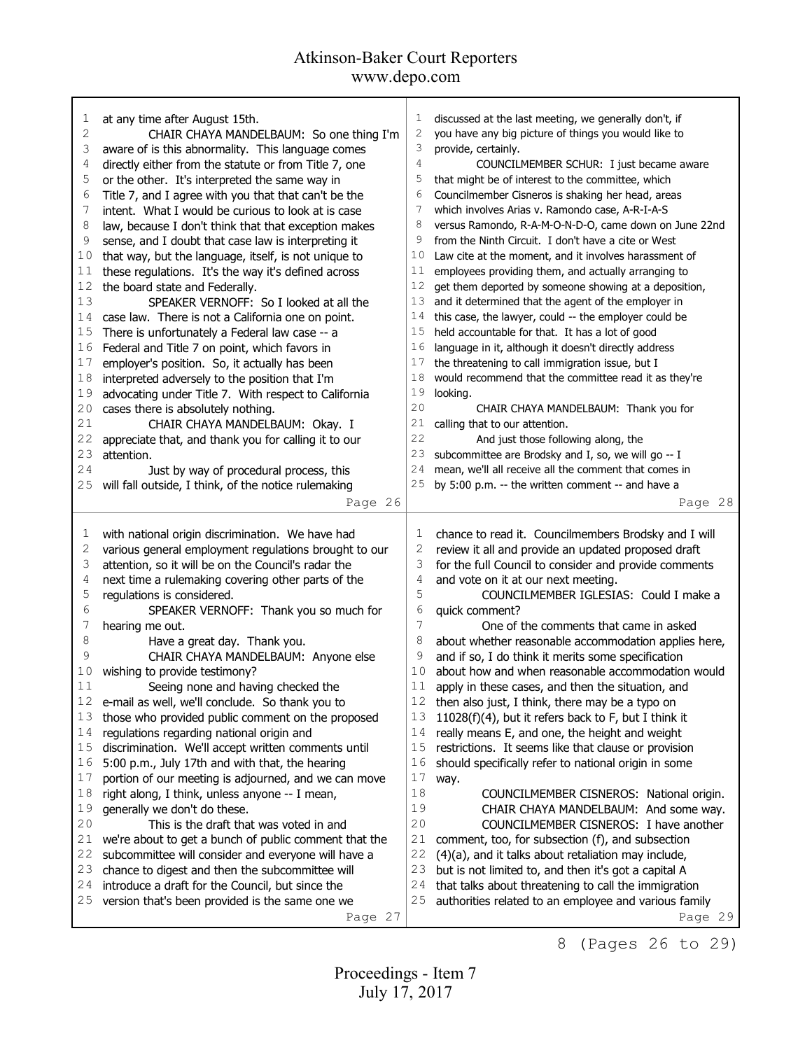| 1    | at any time after August 15th.                        | 1  | discussed at the last meeting, we generally don't, if |
|------|-------------------------------------------------------|----|-------------------------------------------------------|
| 2    | CHAIR CHAYA MANDELBAUM: So one thing I'm              | 2  | you have any big picture of things you would like to  |
| 3    | aware of is this abnormality. This language comes     | 3  | provide, certainly.                                   |
| 4    | directly either from the statute or from Title 7, one | 4  | COUNCILMEMBER SCHUR: I just became aware              |
| 5    | or the other. It's interpreted the same way in        | 5  | that might be of interest to the committee, which     |
| 6    | Title 7, and I agree with you that that can't be the  | 6  | Councilmember Cisneros is shaking her head, areas     |
| 7    | intent. What I would be curious to look at is case    | 7  | which involves Arias v. Ramondo case, A-R-I-A-S       |
| 8    | law, because I don't think that that exception makes  | 8  | versus Ramondo, R-A-M-O-N-D-O, came down on June 22nd |
| 9    | sense, and I doubt that case law is interpreting it   | 9  | from the Ninth Circuit. I don't have a cite or West   |
| 10   | that way, but the language, itself, is not unique to  | 10 | Law cite at the moment, and it involves harassment of |
| 11   | these regulations. It's the way it's defined across   | 11 | employees providing them, and actually arranging to   |
| 12   | the board state and Federally.                        | 12 | get them deported by someone showing at a deposition, |
| 13   | SPEAKER VERNOFF: So I looked at all the               | 13 | and it determined that the agent of the employer in   |
| 14   | case law. There is not a California one on point.     | 14 | this case, the lawyer, could -- the employer could be |
| 15   | There is unfortunately a Federal law case -- a        | 15 | held accountable for that. It has a lot of good       |
| 16   | Federal and Title 7 on point, which favors in         | 16 | language in it, although it doesn't directly address  |
| $17$ | employer's position. So, it actually has been         | 17 | the threatening to call immigration issue, but I      |
| 18   | interpreted adversely to the position that I'm        | 18 | would recommend that the committee read it as they're |
| 19   | advocating under Title 7. With respect to California  | 19 | looking.                                              |
| 20   | cases there is absolutely nothing.                    | 20 | CHAIR CHAYA MANDELBAUM: Thank you for                 |
| 21   | CHAIR CHAYA MANDELBAUM: Okay. I                       | 21 | calling that to our attention.                        |
| 22   | appreciate that, and thank you for calling it to our  | 22 | And just those following along, the                   |
| 23   | attention.                                            | 23 | subcommittee are Brodsky and I, so, we will go -- I   |
| 24   | Just by way of procedural process, this               | 24 | mean, we'll all receive all the comment that comes in |
| 25   | will fall outside, I think, of the notice rulemaking  | 25 | by 5:00 p.m. -- the written comment -- and have a     |
|      |                                                       |    |                                                       |
|      | Page 26                                               |    | Page 28                                               |
|      |                                                       |    |                                                       |
|      |                                                       |    |                                                       |
| 1    | with national origin discrimination. We have had      | 1  | chance to read it. Councilmembers Brodsky and I will  |
| 2    | various general employment regulations brought to our | 2  | review it all and provide an updated proposed draft   |
| 3    | attention, so it will be on the Council's radar the   | 3  | for the full Council to consider and provide comments |
| 4    | next time a rulemaking covering other parts of the    | 4  | and vote on it at our next meeting.                   |
| 5    | regulations is considered.                            | 5  | COUNCILMEMBER IGLESIAS: Could I make a                |
| 6    | SPEAKER VERNOFF: Thank you so much for                | 6  | quick comment?                                        |
| 7    | hearing me out.                                       | 7  | One of the comments that came in asked                |
| 8    | Have a great day. Thank you.                          | 8  | about whether reasonable accommodation applies here,  |
| 9    | CHAIR CHAYA MANDELBAUM: Anyone else                   | 9  | and if so, I do think it merits some specification    |
| 10   | wishing to provide testimony?                         | 10 | about how and when reasonable accommodation would     |
| 11   | Seeing none and having checked the                    | 11 | apply in these cases, and then the situation, and     |
| 12   | e-mail as well, we'll conclude. So thank you to       | 12 | then also just, I think, there may be a typo on       |
| 13   | those who provided public comment on the proposed     | 13 | 11028(f)(4), but it refers back to F, but I think it  |
| 14   | regulations regarding national origin and             | 14 | really means E, and one, the height and weight        |
| 15   | discrimination. We'll accept written comments until   | 15 | restrictions. It seems like that clause or provision  |
| 16   | 5:00 p.m., July 17th and with that, the hearing       | 16 | should specifically refer to national origin in some  |
| 17   | portion of our meeting is adjourned, and we can move  | 17 | way.                                                  |
| 18   | right along, I think, unless anyone -- I mean,        | 18 | COUNCILMEMBER CISNEROS: National origin.              |
| 19   | generally we don't do these.                          | 19 | CHAIR CHAYA MANDELBAUM: And some way.                 |
| 20   | This is the draft that was voted in and               | 20 | COUNCILMEMBER CISNEROS: I have another                |
| 21   | we're about to get a bunch of public comment that the | 21 | comment, too, for subsection (f), and subsection      |
| 22   | subcommittee will consider and everyone will have a   | 22 | (4)(a), and it talks about retaliation may include,   |
| 23   | chance to digest and then the subcommittee will       | 23 | but is not limited to, and then it's got a capital A  |
| 24   | introduce a draft for the Council, but since the      | 24 | that talks about threatening to call the immigration  |
| 25   | version that's been provided is the same one we       | 25 | authorities related to an employee and various family |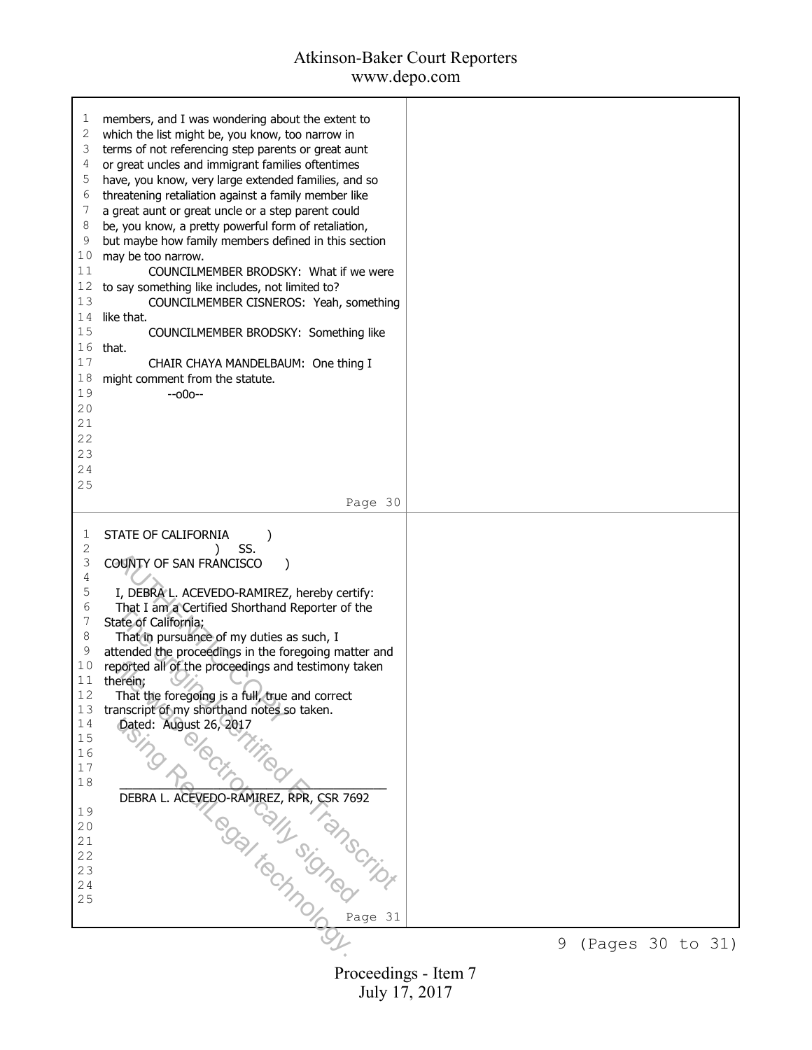# Atkinson-Baker Court Reporters

www.depo.com

| ı<br>2<br>3<br>4<br>5<br>6<br>7<br>8<br>9<br>10<br>11<br>12<br>13<br>14<br>15<br>16<br>17<br>18<br>19<br>20<br>21<br>22<br>23<br>24<br>25 | members, and I was wondering about the extent to<br>which the list might be, you know, too narrow in<br>terms of not referencing step parents or great aunt<br>or great uncles and immigrant families oftentimes<br>have, you know, very large extended families, and so<br>threatening retaliation against a family member like<br>a great aunt or great uncle or a step parent could<br>be, you know, a pretty powerful form of retaliation,<br>but maybe how family members defined in this section<br>may be too narrow.<br>COUNCILMEMBER BRODSKY: What if we were<br>to say something like includes, not limited to?<br>COUNCILMEMBER CISNEROS: Yeah, something<br>like that.<br>COUNCILMEMBER BRODSKY: Something like<br>that.<br>CHAIR CHAYA MANDELBAUM: One thing I<br>might comment from the statute.<br>$-000-$ |   |                  |  |
|-------------------------------------------------------------------------------------------------------------------------------------------|---------------------------------------------------------------------------------------------------------------------------------------------------------------------------------------------------------------------------------------------------------------------------------------------------------------------------------------------------------------------------------------------------------------------------------------------------------------------------------------------------------------------------------------------------------------------------------------------------------------------------------------------------------------------------------------------------------------------------------------------------------------------------------------------------------------------------|---|------------------|--|
|                                                                                                                                           | Page 30                                                                                                                                                                                                                                                                                                                                                                                                                                                                                                                                                                                                                                                                                                                                                                                                                   |   |                  |  |
| 1<br>2<br>3<br>4<br>5<br>6<br>7<br>8<br>9<br>10<br>11<br>12<br>13<br>14<br>15<br>16<br>17<br>18<br>19<br>20<br>21<br>22<br>23<br>24<br>25 | STATE OF CALIFORNIA<br>SS.<br>COUNTY OF SAN FRANCISCO<br>I, DEBRA L. ACEVEDO-RAMIREZ, hereby certify:<br>That I am a Certified Shorthand Reporter of the<br>State of California;<br>That in pursuance of my duties as such, I<br>attended the proceedings in the foregoing matter and<br>reported all of the proceedings and testimony taken<br>therein;<br>That the foregoing is a full, true and correct<br>transcript of my shorthand notes so taken.<br>Dated: August 26, 2017<br>DEBRA L. ACEVEDO-RÁMIREZ, RPR, CSR 7692<br>Page $31$                                                                                                                                                                                                                                                                                | 9 |                  |  |
|                                                                                                                                           |                                                                                                                                                                                                                                                                                                                                                                                                                                                                                                                                                                                                                                                                                                                                                                                                                           |   | (Pages 30 to 31) |  |
|                                                                                                                                           | Proceedings - Item 7                                                                                                                                                                                                                                                                                                                                                                                                                                                                                                                                                                                                                                                                                                                                                                                                      |   |                  |  |

July 17, 2017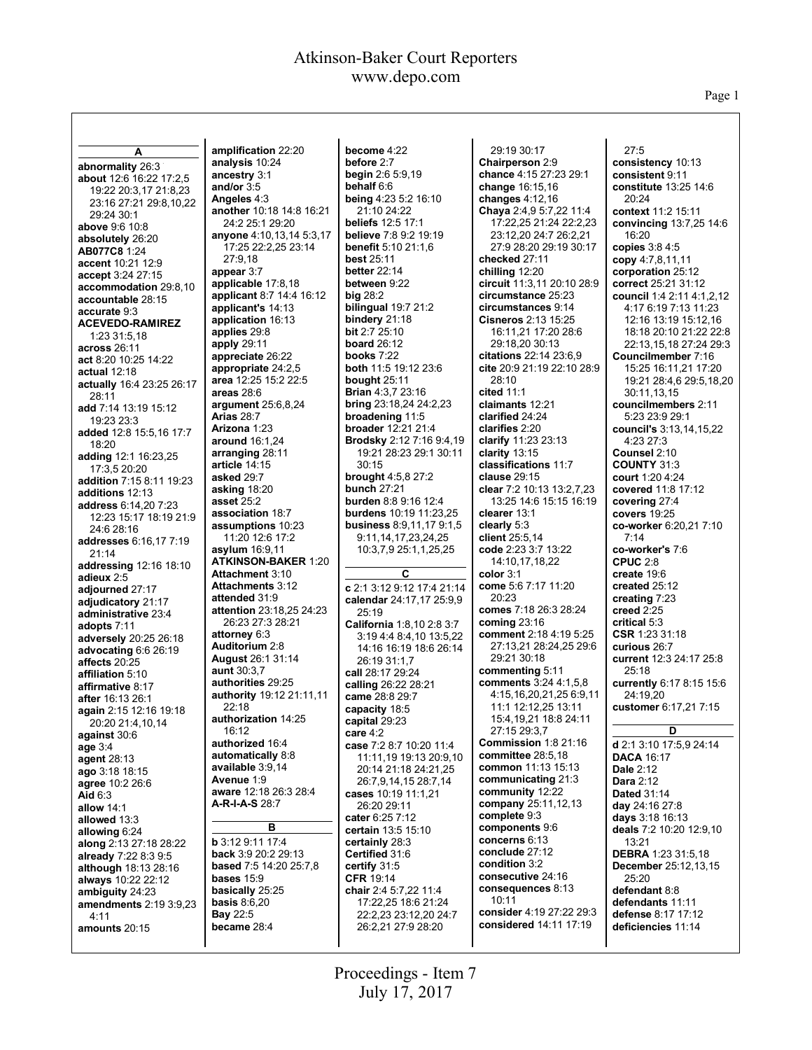Page 1

| A                                              | amplification 22:20                    | become 4:22                           | 29:19 30:17                                                 | 27:5                                            |
|------------------------------------------------|----------------------------------------|---------------------------------------|-------------------------------------------------------------|-------------------------------------------------|
| abnormality 26:3                               | analysis 10:24                         | before 2:7                            | Chairperson 2:9                                             | consistency 10:13                               |
| about 12:6 16:22 17:2,5                        | ancestry 3:1                           | <b>begin</b> $2:65:9,19$              | chance 4:15 27:23 29:1                                      | consistent 9:11                                 |
| 19:22 20:3,17 21:8,23                          | and/or $3:5$                           | behalf 6:6                            | change 16:15,16                                             | constitute 13:25 14:6                           |
| 23:16 27:21 29:8,10,22                         | Angeles 4:3                            | <b>being 4:23 5:2 16:10</b>           | changes $4:12,16$                                           | 20:24                                           |
| 29:24 30:1                                     | another 10:18 14:8 16:21               | 21:10 24:22                           | Chaya 2:4,9 5:7,22 11:4                                     | context 11:2 15:11                              |
| above 9:6 10:8                                 | 24:2 25:1 29:20                        | <b>beliefs</b> 12:5 17:1              | 17:22,25 21:24 22:2,23                                      | convincing 13:7,25 14:6                         |
| absolutely 26:20                               | anyone 4:10,13,14 5:3,17               | <b>believe</b> 7:8 9:2 19:19          | 23:12,20 24:7 26:2,21                                       | 16:20                                           |
| AB077C8 1:24                                   | 17:25 22:2,25 23:14                    | benefit 5:10 21:1,6                   | 27:9 28:20 29:19 30:17                                      | copies $3:84:5$                                 |
| accent 10:21 12:9                              | 27:9.18                                | <b>best 25:11</b>                     | checked 27:11                                               | copy 4:7,8,11,11                                |
| accept 3:24 27:15                              | appear 3:7                             | <b>better 22:14</b>                   | chilling 12:20                                              | corporation 25:12                               |
| accommodation 29:8,10                          | applicable 17:8,18                     | between 9:22                          | circuit 11:3,11 20:10 28:9                                  | correct 25:21 31:12                             |
| accountable 28:15                              | applicant 8:7 14:4 16:12               | big 28:2                              | circumstance 25:23                                          | council 1:4 2:11 4:1,2,12                       |
| accurate 9:3                                   | applicant's 14:13                      | bilingual 19:7 21:2                   | circumstances 9:14                                          | 4:17 6:19 7:13 11:23                            |
| <b>ACEVEDO-RAMIREZ</b>                         | application 16:13                      | bindery $21:18$<br>bit 2:7 25:10      | <b>Cisneros 2:13 15:25</b>                                  | 12:16 13:19 15:12,16                            |
| 1:23 31:5,18                                   | applies 29:8                           | <b>board 26:12</b>                    | 16:11,21 17:20 28:6                                         | 18:18 20:10 21:22 22:8                          |
| across 26:11                                   | apply $29:11$                          | books $7:22$                          | 29:18,20 30:13                                              | 22:13,15,18 27:24 29:3                          |
| act 8:20 10:25 14:22                           | appreciate 26:22<br>appropriate 24:2,5 | <b>both</b> 11:5 19:12 23:6           | <b>citations</b> 22:14 23:6.9<br>cite 20:9 21:19 22:10 28:9 | Councilmember 7:16                              |
| actual 12:18                                   | area 12:25 15:2 22:5                   | bought $25:11$                        | 28:10                                                       | 15:25 16:11,21 17:20<br>19:21 28:4,6 29:5,18,20 |
| actually 16:4 23:25 26:17                      | areas $28:6$                           | <b>Brian 4:3,7 23:16</b>              | cited 11:1                                                  | 30:11,13,15                                     |
| 28:11                                          | argument 25:6,8,24                     | <b>bring</b> 23:18,24 24:2,23         | claimants 12:21                                             | councilmembers 2:11                             |
| add 7:14 13:19 15:12                           | <b>Arias 28:7</b>                      | broadening 11:5                       | clarified 24:24                                             | 5:23 23:9 29:1                                  |
| 19:23 23:3                                     | Arizona 1:23                           | <b>broader</b> 12:21 21:4             | clarifies 2:20                                              | council's 3:13,14,15,22                         |
| added 12:8 15:5,16 17:7                        | around 16:1,24                         | Brodsky 2:12 7:16 9:4.19              | clarify 11:23 23:13                                         | 4:23 27:3                                       |
| 18:20                                          | arranging 28:11                        | 19:21 28:23 29:1 30:11                | clarity $13:15$                                             | Counsel 2:10                                    |
| adding 12:1 16:23,25                           | article 14:15                          | 30:15                                 | classifications 11:7                                        | <b>COUNTY 31:3</b>                              |
| 17:3,5 20:20                                   | asked 29:7                             | brought 4:5,8 27:2                    | clause 29:15                                                | court 1:20 4:24                                 |
| addition 7:15 8:11 19:23                       | asking $18:20$                         | <b>bunch 27:21</b>                    | clear 7:2 10:13 13:2,7,23                                   | covered 11:8 17:12                              |
| additions 12:13                                | asset 25:2                             | <b>burden</b> 8:8 9:16 12:4           | 13:25 14:6 15:15 16:19                                      | covering $27:4$                                 |
| address 6:14,20 7:23<br>12:23 15:17 18:19 21:9 | association 18:7                       | <b>burdens</b> 10:19 11:23,25         | clearer 13:1                                                | covers 19:25                                    |
| 24:6 28:16                                     | assumptions 10:23                      | <b>business 8:9,11,17 9:1,5</b>       | clearly 5:3                                                 | co-worker 6:20,21 7:10                          |
| addresses 6:16,17 7:19                         | 11:20 12:6 17:2                        | 9:11,14,17,23,24,25                   | client 25:5,14                                              | 7:14                                            |
| 21:14                                          | asylum $16:9,11$                       | 10:3,7,9 25:1,1,25,25                 | code 2:23 3:7 13:22                                         | co-worker's 7:6                                 |
| addressing 12:16 18:10                         | <b>ATKINSON-BAKER 1:20</b>             |                                       | 14:10,17,18,22                                              | CPUC $2:8$                                      |
| adieux 2:5                                     | <b>Attachment 3:10</b>                 | C                                     | color $3:1$                                                 | create $19:6$                                   |
| adjourned 27:17                                | <b>Attachments 3:12</b>                | c 2:1 3:12 9:12 17:4 21:14            | come 5:6 7:17 11:20                                         | created $25:12$                                 |
| adjudicatory 21:17                             | attended 31:9                          | calendar 24:17,17 25:9,9              | 20:23                                                       | creating $7:23$                                 |
| administrative 23:4                            | attention 23:18,25 24:23               | 25:19                                 | comes 7:18 26:3 28:24                                       | creed $2:25$                                    |
| adopts 7:11                                    | 26:23 27:3 28:21                       | California 1:8,10 2:8 3:7             | coming $23:16$                                              | critical 5:3                                    |
| adversely 20:25 26:18                          | attorney 6:3                           | 3:19 4:4 8:4,10 13:5,22               | comment 2:18 4:19 5:25                                      | $CSR$ 1:23 31:18                                |
| advocating $6:626:19$                          | Auditorium 2:8                         | 14:16 16:19 18:6 26:14                | 27:13,21 28:24,25 29:6                                      | curious 26:7                                    |
| affects 20:25                                  | <b>August 26:1 31:14</b>               | 26:19 31:1,7                          | 29:21 30:18                                                 | current 12:3 24:17 25:8                         |
| affiliation 5:10                               | <b>aunt</b> 30:3.7                     | call 28:17 29:24                      | commenting 5:11                                             | 25:18                                           |
| affirmative 8:17                               | authorities 29:25                      | calling 26:22 28:21                   | <b>comments</b> 3:24 4:1,5,8                                | currently 6:17 8:15 15:6                        |
| after 16:13 26:1                               | authority 19:12 21:11,11               | came 28:8 29:7                        | 4:15,16,20,21,25 6:9,11                                     | 24:19,20                                        |
| again 2:15 12:16 19:18                         | 22:18                                  | capacity 18:5                         | 11:1 12:12,25 13:11                                         | customer 6:17,21 7:15                           |
| 20:20 21:4,10,14                               | authorization 14:25                    | capital 29:23                         | 15:4, 19, 21 18:8 24: 11                                    |                                                 |
| against 30:6                                   | 16:12                                  | care $4:2$                            | 27:15 29:3,7                                                | D                                               |
| age 3:4                                        | authorized 16:4<br>automatically 8:8   | case 7:2 8:7 10:20 11:4               | Commission 1:8 21:16<br><b>committee</b> 28:5,18            | d 2:1 3:10 17:5,9 24:14                         |
| <b>agent 28:13</b>                             | available 3:9,14                       | 11:11,19 19:13 20:9,10                | common 11:13 15:13                                          | <b>DACA 16:17</b>                               |
| ago 3:18 18:15                                 | Avenue 1:9                             | 20:14 21:18 24:21,25                  | communicating 21:3                                          | Dale 2:12                                       |
| agree 10:2 26:6                                | aware 12:18 26:3 28:4                  | 26:7,9,14,15 28:7,14                  | community 12:22                                             | <b>Dara</b> 2:12                                |
| Aid $6:3$                                      | A-R-I-A-S 28:7                         | cases 10:19 11:1,21                   | company 25:11,12,13                                         | <b>Dated 31:14</b>                              |
| allow 14:1                                     |                                        | 26:20 29:11                           | complete 9:3                                                | day 24:16 27:8                                  |
| allowed 13:3                                   | в                                      | cater 6:25 7:12<br>certain 13:5 15:10 | components 9:6                                              | days $3:18$ 16:13<br>deals 7:2 10:20 12:9,10    |
| allowing 6:24                                  | <b>b</b> 3:12 9:11 17:4                | certainly 28:3                        | concerns 6:13                                               | 13:21                                           |
| along 2:13 27:18 28:22                         | back 3:9 20:2 29:13                    | Certified 31:6                        | conclude 27:12                                              | <b>DEBRA</b> 1:23 31:5,18                       |
| already 7:22 8:3 9:5                           | <b>based 7:5 14:20 25:7,8</b>          | certify $31:5$                        | condition 3:2                                               | <b>December</b> 25:12,13,15                     |
| although 18:13 28:16                           | bases $15.9$                           | <b>CFR 19:14</b>                      | consecutive 24:16                                           | 25:20                                           |
| always 10:22 22:12<br>ambiguity 24:23          | basically 25:25                        | chair 2:4 5:7,22 11:4                 | consequences 8:13                                           | defendant 8:8                                   |
| amendments 2:19 3:9,23                         | <b>basis</b> $8:6,20$                  | 17:22,25 18:6 21:24                   | 10:11                                                       | defendants 11:11                                |
| 4:11                                           | <b>Bay 22:5</b>                        | 22:2,23 23:12,20 24:7                 | consider 4:19 27:22 29:3                                    | defense 8:17 17:12                              |
| amounts 20:15                                  | became 28:4                            | 26:2,21 27:9 28:20                    | considered 14:11 17:19                                      | deficiencies 11:14                              |
|                                                |                                        |                                       |                                                             |                                                 |
|                                                |                                        |                                       |                                                             |                                                 |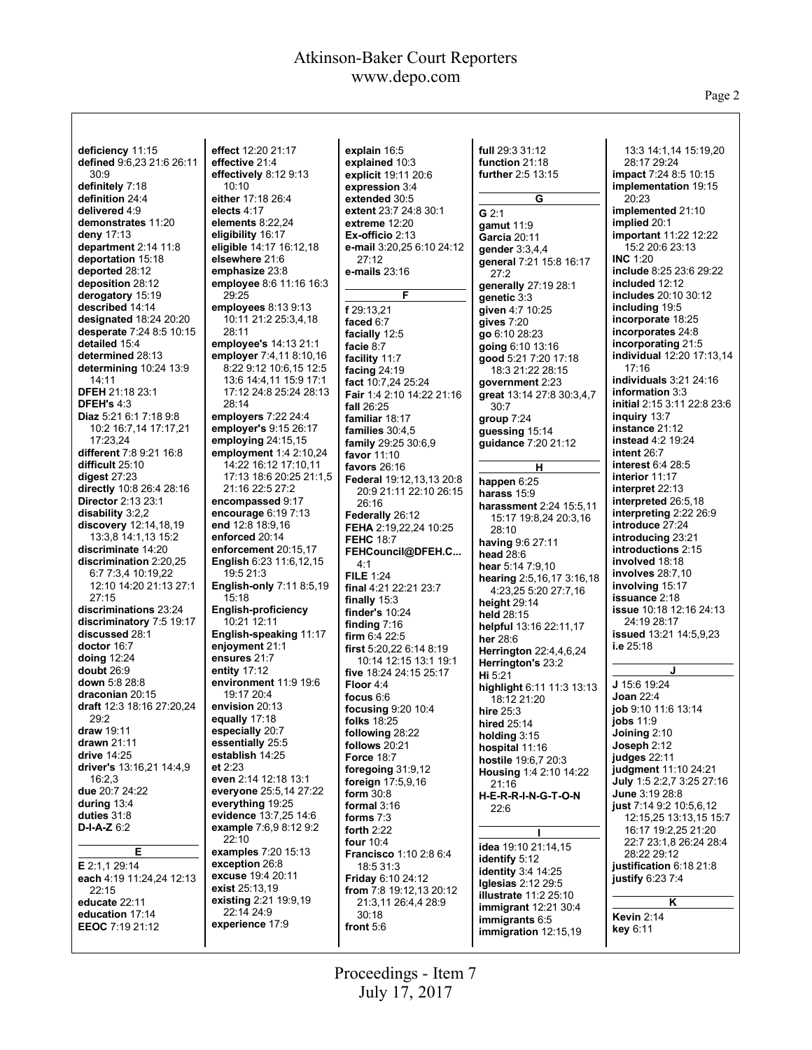Page 2

| deficiency 11:15                                  | effect 12:20 21:17                             | explain 16:5                                       | full 29:3 31:12                          | 13:3 14:1,14 15:19,20                         |
|---------------------------------------------------|------------------------------------------------|----------------------------------------------------|------------------------------------------|-----------------------------------------------|
| defined 9:6,23 21:6 26:11                         | effective 21:4                                 | explained 10:3                                     | function 21:18                           | 28:17 29:24                                   |
| 30:9                                              | effectively 8:12 9:13                          | explicit 19:11 20:6                                | <b>further</b> 2:5 13:15                 | impact 7:24 8:5 10:15                         |
| definitely 7:18                                   | 10:10                                          | expression 3:4                                     |                                          | implementation 19:15                          |
| definition 24:4                                   | either 17:18 26:4                              | extended 30:5                                      | G                                        | 20:23                                         |
| delivered 4:9                                     | elects 4:17                                    | extent 23:7 24:8 30:1                              | $G$ 2:1                                  | implemented 21:10                             |
| demonstrates 11:20                                | elements $8:22,24$                             | extreme 12:20                                      | gamut 11:9                               | implied 20:1                                  |
| deny $17:13$                                      | eligibility 16:17                              | Ex-officio $2:13$                                  | Garcia 20:11                             | <b>important</b> 11:22 12:22                  |
| department $2:14$ 11:8                            | eligible 14:17 16:12,18                        | e-mail 3:20,25 6:10 24:12                          | gender $3:3,4,4$                         | 15:2 20:6 23:13                               |
| deportation 15:18                                 | elsewhere 21:6                                 | 27:12                                              | general 7:21 15:8 16:17                  | INC $1:20$                                    |
| deported 28:12                                    | emphasize 23:8                                 | e-mails 23:16                                      | 27:2                                     | include 8:25 23:6 29:22<br>included 12:12     |
| deposition 28:12<br>derogatory 15:19              | employee 8:6 11:16 16:3<br>29:25               | F                                                  | generally 27:19 28:1                     | includes 20:10 30:12                          |
| described 14:14                                   | employees 8:13 9:13                            |                                                    | genetic 3:3                              | including 19:5                                |
| <b>designated 18:24 20:20</b>                     | 10:11 21:2 25:3,4,18                           | f 29:13,21<br>faced 6:7                            | given 4:7 10:25<br>gives $7:20$          | incorporate 18:25                             |
| desperate 7:24 8:5 10:15                          | 28:11                                          | facially 12:5                                      | go 6:10 28:23                            | incorporates 24:8                             |
| detailed 15:4                                     | employee's 14:13 21:1                          | facie 8:7                                          | going $6:10$ 13:16                       | incorporating 21:5                            |
| determined 28:13                                  | employer 7:4,11 8:10,16                        | facility 11:7                                      | good 5:21 7:20 17:18                     | <b>individual</b> 12:20 17:13,14              |
| determining $10:24$ 13:9                          | 8:22 9:12 10:6,15 12:5                         | facing $24:19$                                     | 18:3 21:22 28:15                         | 17:16                                         |
| 14:11                                             | 13:6 14:4,11 15:9 17:1                         | fact 10:7,24 25:24                                 | government 2:23                          | individuals 3:21 24:16                        |
| <b>DFEH 21:18 23:1</b>                            | 17:12 24:8 25:24 28:13                         | Fair 1:4 2:10 14:22 21:16                          | great 13:14 27:8 30:3,4,7                | information 3:3                               |
| DFEH's 4:3                                        | 28:14                                          | fall $26:25$                                       | 30:7                                     | initial 2:15 3:11 22:8 23:6                   |
| Diaz 5:21 6:1 7:18 9:8                            | employers 7:22 24:4                            | familiar 18:17                                     | group $7:24$                             | inguiry 13:7                                  |
| 10:2 16:7,14 17:17,21                             | employer's 9:15 26:17                          | families 30:4,5                                    | guessing 15:14                           | instance 21:12                                |
| 17:23,24                                          | employing 24:15,15                             | family 29:25 30:6,9                                | guidance 7:20 21:12                      | <b>instead 4:2 19:24</b>                      |
| different 7:8 9:21 16:8<br>difficult 25:10        | employment 1:4 2:10,24<br>14:22 16:12 17:10,11 | favor 11:10                                        |                                          | intent 26:7<br>interest 6:4 28:5              |
| digest $27:23$                                    | 17:13 18:6 20:25 21:1.5                        | favors $26:16$                                     | н                                        | interior 11:17                                |
| directly 10:8 26:4 28:16                          | 21:16 22:5 27:2                                | Federal 19:12,13,13 20:8<br>20:9 21:11 22:10 26:15 | happen 6:25                              | interpret 22:13                               |
| <b>Director 2:13 23:1</b>                         | encompassed 9:17                               | 26:16                                              | harass 15:9                              | interpreted 26:5,18                           |
| disability 3:2,2                                  | encourage $6:197:13$                           | Federally 26:12                                    | harassment 2:24 15:5,11                  | interpreting 2:22 26:9                        |
| discovery 12:14,18,19                             | end 12:8 18:9,16                               | <b>FEHA</b> 2:19,22,24 10:25                       | 15:17 19:8,24 20:3,16<br>28:10           | introduce 27:24                               |
| 13:3,8 14:1,13 15:2                               | enforced 20:14                                 | <b>FEHC 18:7</b>                                   | having 9:6 27:11                         | introducing 23:21                             |
| discriminate 14:20                                | enforcement 20:15,17                           | FEHCouncil@DFEH.C                                  | head 28:6                                | introductions 2:15                            |
| discrimination 2:20,25                            | English 6:23 11:6,12,15                        | 4:1                                                | hear $5:147:9,10$                        | involved 18:18                                |
| 6:7 7:3,4 10:19,22                                | 19:5 21:3                                      | FILE $1:24$                                        | hearing 2:5,16,17 3:16,18                | <b>involves</b> 28:7,10                       |
| 12:10 14:20 21:13 27:1                            | <b>English-only 7:11 8:5,19</b>                | final 4:21 22:21 23:7                              | 4:23,25 5:20 27:7,16                     | involving 15:17                               |
| 27:15                                             | 15:18                                          | finally $15:3$                                     | height $29:14$                           | <b>issuance 2:18</b>                          |
| discriminations 23:24<br>discriminatory 7:5 19:17 | <b>English-proficiency</b><br>10:21 12:11      | finder's $10:24$                                   | held 28:15                               | <b>issue</b> 10:18 12:16 24:13<br>24:19 28:17 |
| discussed 28:1                                    | English-speaking 11:17                         | finding $7:16$                                     | helpful 13:16 22:11,17                   | issued 13:21 14:5,9,23                        |
| doctor 16:7                                       | enjoyment 21:1                                 | firm $6:422:5$<br>first $5:20,226:148:19$          | her $28:6$                               | i.e $25:18$                                   |
| doing 12:24                                       | ensures 21:7                                   | 10:14 12:15 13:1 19:1                              | Herrington 22:4,4,6,24                   |                                               |
| doubt 26:9                                        | entity $17:12$                                 | five 18:24 24:15 25:17                             | Herrington's 23:2                        | J                                             |
| down 5:8 28:8                                     | environment 11:9 19:6                          | Floor 4:4                                          | Hi 5:21                                  | J 15:6 19:24                                  |
| draconian 20:15                                   | 19:17 20:4                                     | focus 6:6                                          | highlight 6:11 11:3 13:13<br>18:12 21:20 | <b>Joan 22:4</b>                              |
| draft 12:3 18:16 27:20,24                         | envision 20:13                                 | focusing 9:20 10:4                                 | hire 25:3                                | job 9:10 11:6 13:14                           |
| 29:2                                              | equally 17:18                                  | <b>folks</b> 18:25                                 | hired 25:14                              | jobs $11:9$                                   |
| draw 19:11                                        | especially 20:7                                | following 28:22                                    | holding 3:15                             | Joining 2:10                                  |
| drawn $21:11$                                     | essentially 25:5                               | follows 20:21                                      | hospital 11:16                           | Joseph $2:12$                                 |
| drive $14:25$<br>driver's 13:16,21 14:4,9         | establish 14:25<br>et $2:23$                   | <b>Force 18:7</b>                                  | hostile 19:6,7 20:3                      | judges 22:11                                  |
| 16:2,3                                            | even 2:14 12:18 13:1                           | foregoing $31:9,12$                                | Housing 1:4 2:10 14:22                   | judgment 11:10 24:21                          |
| due 20:7 24:22                                    | everyone 25:5,14 27:22                         | <b>foreign</b> $17:5,9,16$                         | 21:16                                    | July 1:5 2:2,7 3:25 27:16                     |
| during $13:4$                                     | everything 19:25                               | form $30:8$<br>formal 3:16                         | H-E-R-R-I-N-G-T-O-N                      | June 3:19 28:8<br>just 7:14 9:2 10:5,6,12     |
| duties $31:8$                                     | evidence 13:7,25 14:6                          | forms $7:3$                                        | 22:6                                     | 12:15,25 13:13,15 15:7                        |
| $D-I-A-Z$ 6:2                                     | example 7:6,9 8:12 9:2                         | forth $2:22$                                       |                                          | 16:17 19:2,25 21:20                           |
|                                                   | 22:10                                          | four $10:4$                                        |                                          | 22:7 23:1,8 26:24 28:4                        |
| Е                                                 | examples 7:20 15:13                            | <b>Francisco</b> 1:10 2:8 6:4                      | <b>idea</b> 19:10 21:14,15               | 28:22 29:12                                   |
| E 2:1,1 29:14                                     | exception 26:8                                 | 18:531:3                                           | identify 5:12<br>identity $3:4$ 14:25    | justification 6:18 21:8                       |
| each 4:19 11:24,24 12:13                          | excuse 19:4 20:11                              | <b>Friday 6:10 24:12</b>                           | Iglesias $2:12$ 29:5                     | justify 6:23 7:4                              |
| 22:15                                             | exist 25:13,19                                 | from $7:8$ 19:12,13 20:12                          | <b>illustrate</b> 11:2 25:10             |                                               |
| educate 22:11                                     | existing 2:21 19:9,19                          | 21:3,11 26:4,4 28:9                                | immigrant $12:21$ 30:4                   | Κ                                             |
| education 17:14                                   | 22:14 24:9<br>experience 17:9                  | 30:18                                              | immigrants 6:5                           | <b>Kevin 2:14</b>                             |
| EEOC 7:19 21:12                                   |                                                | front 5:6                                          | immigration 12:15,19                     | key 6:11                                      |
|                                                   |                                                |                                                    |                                          |                                               |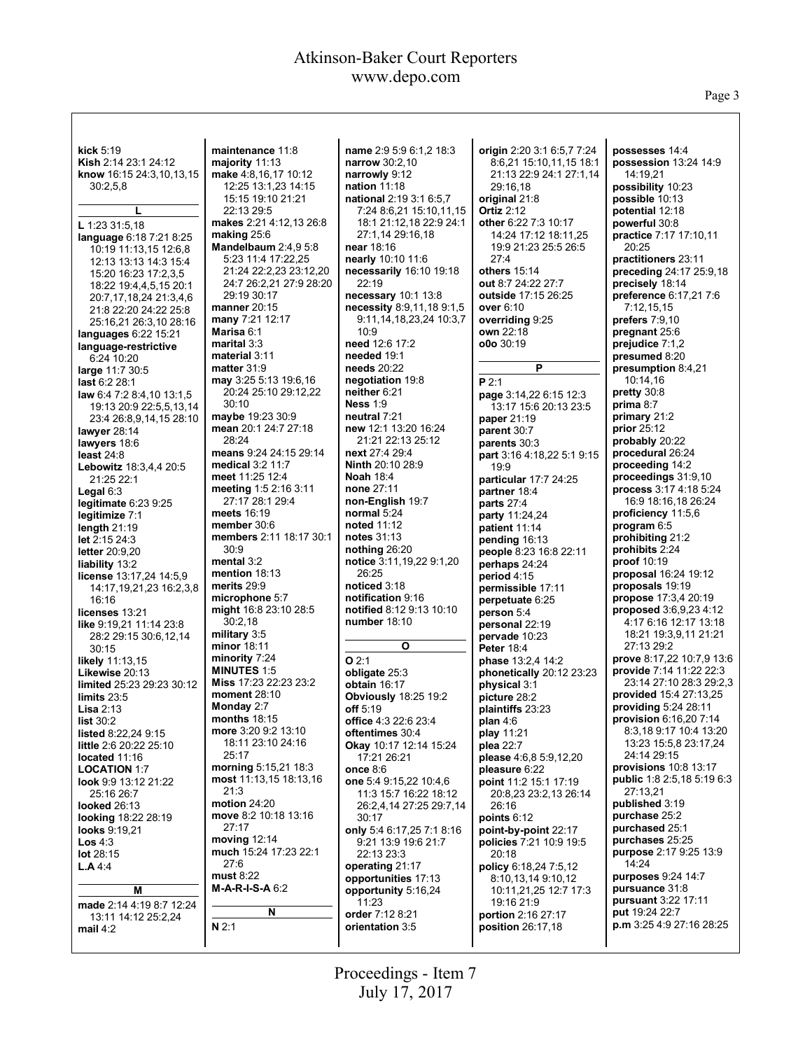Page 3

| kick $5:19$                                    | maintenance 11:8                              | name 2:9 5:9 6:1,2 18:3                            | origin 2:20 3:1 6:5,7 7:24                | possesses 14:4                                   |
|------------------------------------------------|-----------------------------------------------|----------------------------------------------------|-------------------------------------------|--------------------------------------------------|
| Kish 2:14 23:1 24:12                           | majority $11:13$                              | narrow 30:2,10                                     | 8:6,21 15:10,11,15 18:1                   | possession 13:24 14:9                            |
| know 16:15 24:3,10,13,15                       | make 4:8,16,17 10:12                          | narrowly 9:12                                      | 21:13 22:9 24:1 27:1 14                   | 14:19.21                                         |
| 30:2,5,8                                       | 12:25 13:1,23 14:15                           | nation 11:18                                       | 29:16,18                                  | possibility 10:23                                |
| L                                              | 15:15 19:10 21:21<br>22:13 29:5               | national 2:19 3:1 6:5,7                            | original 21:8                             | possible 10:13                                   |
|                                                | makes 2:21 4:12,13 26:8                       | 7:24 8:6,21 15:10,11,15<br>18:1 21:12,18 22:9 24:1 | <b>Ortiz 2:12</b><br>other 6:22 7:3 10:17 | potential 12:18<br>powerful 30:8                 |
| L 1:23 31:5,18                                 | making $25:6$                                 | 27:1,14 29:16,18                                   | 14:24 17:12 18:11,25                      | practice 7:17 17:10,11                           |
| language 6:18 7:21 8:25                        | Mandelbaum 2:4,9 5:8                          | near 18:16                                         | 19:9 21:23 25:5 26:5                      | 20:25                                            |
| 10:19 11:13,15 12:6,8<br>12:13 13:13 14:3 15:4 | 5:23 11:4 17:22,25                            | nearly 10:10 11:6                                  | 27:4                                      | practitioners 23:11                              |
| 15:20 16:23 17:2,3,5                           | 21:24 22:2,23 23:12,20                        | necessarily 16:10 19:18                            | others $15:14$                            | preceding 24:17 25:9,18                          |
| 18:22 19:4,4,5,15 20:1                         | 24:7 26:2,21 27:9 28:20                       | 22:19                                              | out 8:7 24:22 27:7                        | precisely 18:14                                  |
| 20:7,17,18,24 21:3,4,6                         | 29:19 30:17                                   | necessary 10:1 13:8                                | outside 17:15 26:25                       | preference 6:17,217:6                            |
| 21:8 22:20 24:22 25:8                          | <b>manner</b> 20:15                           | necessity 8:9,11,18 9:1,5                          | over 6:10                                 | 7:12,15,15                                       |
| 25:16,21 26:3,10 28:16                         | many 7:21 12:17                               | 9:11,14,18,23,24 10:3,7                            | overriding 9:25                           | prefers $7:9,10$                                 |
| languages $6:22$ 15:21                         | Marisa 6:1                                    | 10:9                                               | own 22:18                                 | pregnant 25:6                                    |
| language-restrictive                           | marital $3:3$                                 | need 12:6 17:2                                     | o0o 30:19                                 | prejudice 7:1,2                                  |
| 6:24 10:20                                     | material 3:11                                 | needed 19:1                                        |                                           | presumed 8:20                                    |
| large 11:7 30:5                                | matter $31:9$                                 | needs 20:22                                        | P                                         | presumption 8:4,21                               |
| last $6:228:1$                                 | may 3:25 5:13 19:6,16<br>20:24 25:10 29:12,22 | negotiation 19:8<br>neither 6:21                   | P 2:1                                     | 10:14,16                                         |
| law 6:4 7:2 8:4,10 13:1,5                      | 30:10                                         | Ness $1:9$                                         | page 3:14,22 6:15 12:3                    | pretty $30:8$<br>prima 8:7                       |
| 19:13 20:9 22:5,5,13,14                        | maybe 19:23 30:9                              | neutral 7:21                                       | 13:17 15:6 20:13 23:5                     | primary 21:2                                     |
| 23:4 26:8,9,14,15 28:10<br>lawyer $28:14$      | mean 20:1 24:7 27:18                          | new 12:1 13:20 16:24                               | paper 21:19<br>parent 30:7                | prior 25:12                                      |
| lawyers 18:6                                   | 28:24                                         | 21:21 22:13 25:12                                  | parents 30:3                              | probably 20:22                                   |
| least $24:8$                                   | means 9:24 24:15 29:14                        | next 27:4 29:4                                     | part 3:16 4:18,22 5:1 9:15                | procedural 26:24                                 |
| Lebowitz 18:3,4,4 20:5                         | medical 3:2 11:7                              | Ninth 20:10 28:9                                   | 19:9                                      | proceeding 14:2                                  |
| 21:25 22:1                                     | meet 11:25 12:4                               | <b>Noah 18:4</b>                                   | particular 17:7 24:25                     | proceedings 31:9,10                              |
| Legal $6:3$                                    | meeting 1:5 2:16 3:11                         | none 27:11                                         | partner 18:4                              | process 3:17 4:18 5:24                           |
| legitimate 6:23 9:25                           | 27:17 28:1 29:4                               | non-English 19:7                                   | parts 27:4                                | 16:9 18:16,18 26:24                              |
| legitimize 7:1                                 | meets 16:19                                   | normal 5:24                                        | party 11:24,24                            | proficiency 11:5,6                               |
| length $21:19$                                 | member 30:6                                   | <b>noted 11:12</b>                                 | patient 11:14                             | program 6:5                                      |
| let $2:1524:3$                                 | members 2:11 18:17 30:1                       | notes 31:13                                        | pending 16:13                             | prohibiting 21:2                                 |
| letter 20:9,20                                 | 30:9<br>mental 3:2                            | nothing $26:20$                                    | people 8:23 16:8 22:11                    | prohibits 2:24<br>proof $10:19$                  |
| liability 13:2                                 | mention 18:13                                 | notice 3:11,19,22 9:1,20<br>26:25                  | perhaps 24:24                             | proposal 16:24 19:12                             |
| license 13:17,24 14:5,9                        | merits 29:9                                   | noticed 3:18                                       | period 4:15                               | proposals 19:19                                  |
| 14:17,19,21,23 16:2,3,8<br>16:16               | microphone 5:7                                | notification 9:16                                  | permissible 17:11<br>perpetuate 6:25      | propose 17:3,4 20:19                             |
| licenses 13:21                                 | might 16:8 23:10 28:5                         | notified 8:12 9:13 10:10                           | person 5:4                                | proposed 3:6,9,23 4:12                           |
| like 9:19,21 11:14 23:8                        | 30:2,18                                       | number $18:10$                                     | personal 22:19                            | 4:17 6:16 12:17 13:18                            |
| 28:2 29:15 30:6,12,14                          | military 3:5                                  |                                                    | pervade 10:23                             | 18:21 19:3,9,11 21:21                            |
| 30:15                                          | minor 18:11                                   | O                                                  | Peter 18:4                                | 27:13 29:2                                       |
| <b>likely</b> 11:13,15                         | minority 7:24                                 | O 2:1                                              | phase 13:2,4 14:2                         | prove 8:17,22 10:7,9 13:6                        |
| Likewise 20:13                                 | <b>MINUTES 1:5</b>                            | obligate 25:3                                      | phonetically 20:12 23:23                  | provide 7:14 11:22 22:3                          |
| limited 25:23 29:23 30:12                      | Miss 17:23 22:23 23:2                         | obtain 16:17                                       | physical 3:1                              | 23:14 27:10 28:3 29:2,3                          |
| limits 23.5                                    | <b>moment 28:10</b>                           | <b>Obviously 18:25 19:2</b>                        | picture 28:2                              | provided 15:4 27:13,25                           |
| Lisa $2:13$                                    | Monday 2:7<br>months $18:15$                  | off 5:19                                           | plaintiffs 23:23                          | providing $5:2428:11$                            |
| list $30:2$                                    | more 3:20 9:2 13:10                           | office 4:3 22:6 23:4                               | plan $4:6$                                | provision 6:16,20 7:14<br>8:3.18 9:17 10:4 13:20 |
| listed 8:22,24 9:15                            | 18:11 23:10 24:16                             | oftentimes 30:4<br>Okay 10:17 12:14 15:24          | play 11:21<br>plea 22:7                   | 13:23 15:5,8 23:17,24                            |
| <b>little</b> 2:6 20:22 25:10<br>located 11:16 | 25:17                                         | 17:21 26:21                                        | please 4:6,8 5:9,12,20                    | 24:14 29:15                                      |
| <b>LOCATION 1:7</b>                            | morning 5:15,21 18:3                          | once 8:6                                           | pleasure 6:22                             | provisions 10:8 13:17                            |
| look 9:9 13:12 21:22                           | most 11:13,15 18:13,16                        | one 5:4 9:15,22 10:4,6                             | point 11:2 15:1 17:19                     | public 1:8 2:5,18 5:19 6:3                       |
| 25:16 26:7                                     | 21:3                                          | 11:3 15:7 16:22 18:12                              | 20:8,23 23:2,13 26:14                     | 27:13,21                                         |
| looked 26:13                                   | motion 24:20                                  | 26:2,4,14 27:25 29:7,14                            | 26:16                                     | published 3:19                                   |
| looking 18:22 28:19                            | move 8:2 10:18 13:16                          | 30:17                                              | points 6:12                               | purchase 25:2                                    |
| looks 9:19,21                                  | 27:17                                         | only 5:4 6:17,25 7:1 8:16                          | point-by-point 22:17                      | purchased 25:1                                   |
| Los $4:3$                                      | moving $12:14$                                | 9:21 13:9 19:6 21:7                                | policies 7:21 10:9 19:5                   | purchases 25:25                                  |
| lot $28:15$                                    | much 15:24 17:23 22:1                         | 22:13 23:3                                         | 20:18                                     | purpose 2:17 9:25 13:9                           |
| L.A 4:4                                        | 27:6<br>must $8:22$                           | operating 21:17                                    | policy 6:18,24 7:5,12                     | 14:24<br>purposes 9:24 14:7                      |
|                                                | M-A-R-I-S-A 6:2                               | opportunities 17:13                                | 8:10,13,14 9:10,12                        | pursuance 31:8                                   |
| М                                              |                                               | opportunity 5:16,24<br>11:23                       | 10:11,21,25 12:7 17:3<br>19:16 21:9       | <b>pursuant</b> 3:22 17:11                       |
| made 2:14 4:19 8:7 12:24                       | N                                             | order 7:12 8:21                                    | portion 2:16 27:17                        | put 19:24 22:7                                   |
| 13:11 14:12 25:2,24<br>mail $4:2$              | $N$ 2:1                                       | orientation 3:5                                    | position 26:17,18                         | p.m 3:25 4:9 27:16 28:25                         |
|                                                |                                               |                                                    |                                           |                                                  |
|                                                |                                               |                                                    |                                           |                                                  |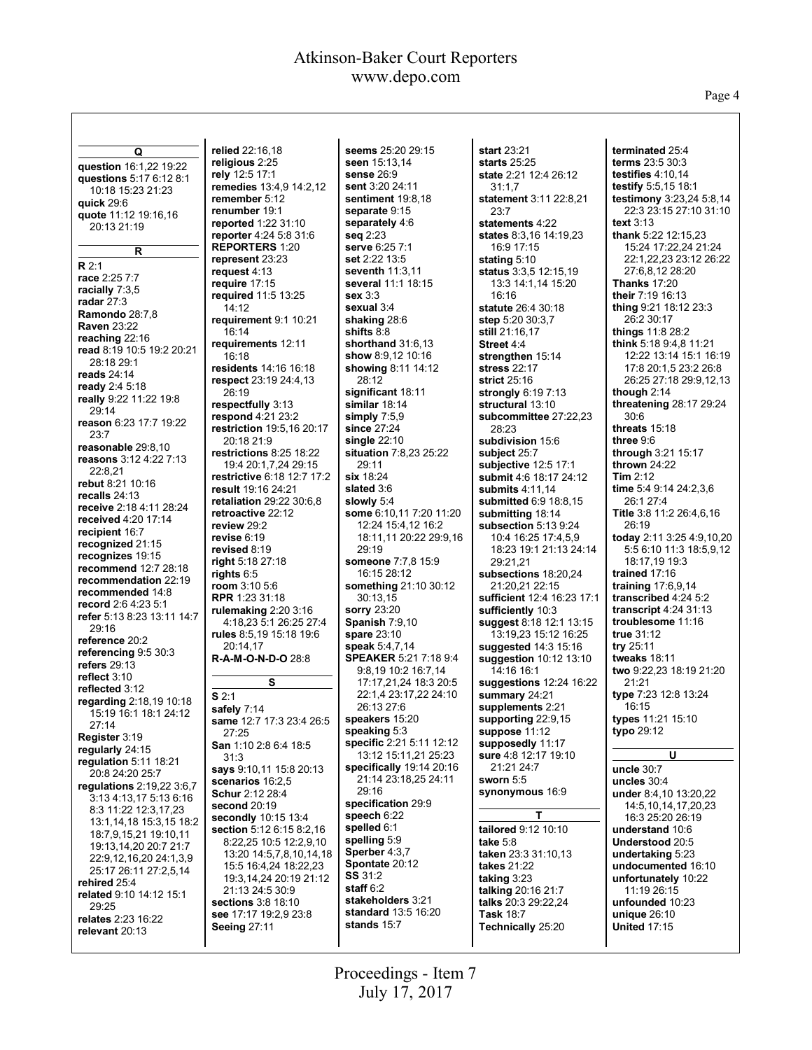Page 4

**Q question** 16:1,22 19:22 **questions** 5:17 6:12 8:1 10:18 15:23 21:23 **quick** 29:6 **quote** 11:12 19:16,16 20:13 21:19 **R R** 2:1 **race** 2:25 7:7 **racially** 7:3,5 **radar** 27:3 **Ramondo** 28:7,8 **Raven** 23:22 **reaching** 22:16 **read** 8:19 10:5 19:2 20:21 28:18 29:1 **reads** 24:14 **ready** 2:4 5:18 **really** 9:22 11:22 19:8 29:14 **reason** 6:23 17:7 19:22 23:7 **reasonable** 29:8,10 **reasons** 3:12 4:22 7:13 22:8,21 **rebut** 8:21 10:16 **recalls** 24:13 **receive** 2:18 4:11 28:24 **received** 4:20 17:14 **recipient** 16:7 **recognized** 21:15 **recognizes** 19:15 **recommend** 12:7 28:18 **recommendation** 22:19 **recommended** 14:8 **record** 2:6 4:23 5:1 **refer** 5:13 8:23 13:11 14:7 29:16 **reference** 20:2 **referencing** 9:5 30:3 **refers** 29:13 **reflect** 3:10 **reflected** 3:12 **regarding** 2:18,19 10:18 15:19 16:1 18:1 24:12  $27.14$ **Register** 3:19 **regularly** 24:15 **regulation** 5:11 18:21 20:8 24:20 25:7 **regulations** 2:19,22 3:6,7 3:13 4:13,17 5:13 6:16 8:3 11:22 12:3,17,23 13:1,14,18 15:3,15 18:2 18:7,9,15,21 19:10,11 19:13,14,20 20:7 21:7 22:9,12,16,20 24:1,3,9 25:17 26:11 27:2,5,14 **rehired** 25:4 **related** 9:10 14:12 15:1 29:25 **relates** 2:23 16:22 **relevant** 20:13 **relied** 22:16,18 **S** 2:1

**religious** 2:25 **rely** 12:5 17:1 **remedies** 13:4,9 14:2,12 **remember** 5:12 **renumber** 19:1 **reported** 1:22 31:10 **reporter** 4:24 5:8 31:6 **REPORTERS** 1:20 **represent** 23:23 **request** 4:13 **require** 17:15 **required** 11:5 13:25 14:12 **requirement** 9:1 10:21 16:14 **requirements** 12:11 16:18 **residents** 14:16 16:18 **respect** 23:19 24:4,13 26:19 **respectfully** 3:13 **respond** 4:21 23:2 **restriction** 19:5,16 20:17 20:18 21:9 **restrictions** 8:25 18:22 19:4 20:1,7,24 29:15 **restrictive** 6:18 12:7 17:2 **result** 19:16 24:21 **retaliation** 29:22 30:6,8 **retroactive** 22:12 **review** 29:2 **revise** 6:19 **revised** 8:19 **right** 5:18 27:18 **rights** 6:5 **room** 3:10 5:6 **RPR** 1:23 31:18 **rulemaking** 2:20 3:16 4:18,23 5:1 26:25 27:4 **rules** 8:5,19 15:18 19:6 20:14,17 **R-A-M-O-N-D-O** 28:8 **S safely** 7:14 **same** 12:7 17:3 23:4 26:5 27:25 **San** 1:10 2:8 6:4 18:5 31:3 **says** 9:10,11 15:8 20:13 **scenarios** 16:2,5 **Schur** 2:12 28:4 **second** 20:19 **secondly** 10:15 13:4 **section** 5:12 6:15 8:2,16 8:22,25 10:5 12:2,9,10 13:20 14:5,7,8,10,14,18 15:5 16:4,24 18:22,23 19:3,14,24 20:19 21:12 21:13 24:5 30:9 **sections** 3:8 18:10 **see** 17:17 19:2,9 23:8 **Seeing** 27:11

**seems** 25:20 29:15 **seen** 15:13,14 **sense** 26:9 **sent** 3:20 24:11 **sentiment** 19:8,18 **separate** 9:15 **separately** 4:6 **seq** 2:23 **serve** 6:25 7:1 **set** 2:22 13:5 **seventh** 11:3,11 **several** 11:1 18:15 **sex** 3:3 **sexual** 3:4 **shaking** 28:6 **shifts** 8:8 **shorthand** 31:6,13 **show** 8:9,12 10:16 **showing** 8:11 14:12 28:12 **significant** 18:11 **similar** 18:14 **simply** 7:5,9 **since** 27:24 **single** 22:10 **situation** 7:8,23 25:22 29:11 **six** 18:24 **slated** 3:6 **slowly** 5:4 **some** 6:10,11 7:20 11:20 12:24 15:4,12 16:2 18:11,11 20:22 29:9,16 29:19 **someone** 7:7,8 15:9 16:15 28:12 **something** 21:10 30:12 30:13,15 **sorry** 23:20 **Spanish** 7:9,10 **spare** 23:10 **speak** 5:4,7,14 **SPEAKER** 5:21 7:18 9:4 9:8,19 10:2 16:7,14 17:17,21,24 18:3 20:5 22:1,4 23:17,22 24:10 26:13 27:6 **speakers** 15:20 **speaking** 5:3 **specific** 2:21 5:11 12:12 13:12 15:11,21 25:23 **specifically** 19:14 20:16 21:14 23:18,25 24:11 29:16 **specification** 29:9 **speech** 6:22 **spelled** 6:1 **spelling** 5:9 **Sperber** 4:3,7 **Spontate** 20:12 **SS** 31:2 **staff** 6:2 **stakeholders** 3:21 **standard** 13:5 16:20 **stands** 15:7

**start** 23:21 **starts** 25:25 **state** 2:21 12:4 26:12  $31:1,7$ **statement** 3:11 22:8,21 23:7 **statements** 4:22 **states** 8:3,16 14:19,23 16:9 17:15 **stating** 5:10 **status** 3:3,5 12:15,19 13:3 14:1,14 15:20 16:16 **statute** 26:4 30:18 **step** 5:20 30:3,7 **still** 21:16,17 **Street** 4:4 **strengthen** 15:14 **stress** 22:17 **strict** 25:16 **strongly** 6:19 7:13 **structural** 13:10 **subcommittee** 27:22,23 28:23 **subdivision** 15:6 **subject** 25:7 **subjective** 12:5 17:1 **submit** 4:6 18:17 24:12 **submits** 4:11,14 **submitted** 6:9 18:8,15 **submitting** 18:14 **subsection** 5:13 9:24 10:4 16:25 17:4,5,9 18:23 19:1 21:13 24:14 29:21,21 **subsections** 18:20,24 21:20,21 22:15 **sufficient** 12:4 16:23 17:1 **sufficiently** 10:3 **suggest** 8:18 12:1 13:15 13:19,23 15:12 16:25 **suggested** 14:3 15:16 **suggestion** 10:12 13:10 14:16 16:1 **suggestions** 12:24 16:22 **summary** 24:21 **supplements** 2:21 **supporting** 22:9,15 **suppose** 11:12 **supposedly** 11:17 **sure** 4:8 12:17 19:10 21:21 24:7 **sworn** 5:5 **synonymous** 16:9 **T tailored** 9:12 10:10 **take** 5:8 **taken** 23:3 31:10,13 **takes** 21:22 **taking** 3:23 **talking** 20:16 21:7 **talks** 20:3 29:22,24

**terminated** 25:4 **terms** 23:5 30:3 **testifies** 4:10,14 **testify** 5:5,15 18:1 **testimony** 3:23,24 5:8,14 22:3 23:15 27:10 31:10 **text** 3:13 **thank** 5:22 12:15,23 15:24 17:22,24 21:24 22:1,22,23 23:12 26:22 27:6,8,12 28:20 **Thanks** 17:20 **their** 7:19 16:13 **thing** 9:21 18:12 23:3 26:2 30:17 **things** 11:8 28:2 **think** 5:18 9:4,8 11:21 12:22 13:14 15:1 16:19 17:8 20:1,5 23:2 26:8 26:25 27:18 29:9,12,13 **though** 2:14 **threatening** 28:17 29:24 30:6 **threats** 15:18 **three** 9:6 **through** 3:21 15:17 **thrown** 24:22 **Tim** 2:12 **time** 5:4 9:14 24:2,3,6 26:1 27:4 **Title** 3:8 11:2 26:4,6,16 26:19 **today** 2:11 3:25 4:9,10,20 5:5 6:10 11:3 18:5,9,12 18:17,19 19:3 **trained** 17:16 **training** 17:6,9,14 **transcribed** 4:24 5:2 **transcript** 4:24 31:13 **troublesome** 11:16 **true** 31:12 **try** 25:11 **tweaks** 18:11 **two** 9:22,23 18:19 21:20 21:21 **type** 7:23 12:8 13:24 16:15 **types** 11:21 15:10 **typo** 29:12 **U uncle** 30:7 **uncles** 30:4 **under** 8:4,10 13:20,22 14:5,10,14,17,20,23 16:3 25:20 26:19 **understand** 10:6 **Understood** 20:5 **undertaking** 5:23 **undocumented** 16:10 **unfortunately** 10:22 11:19 26:15

**unfounded** 10:23 **unique** 26:10 **United** 17:15

**Task** 18:7 **Technically** 25:20